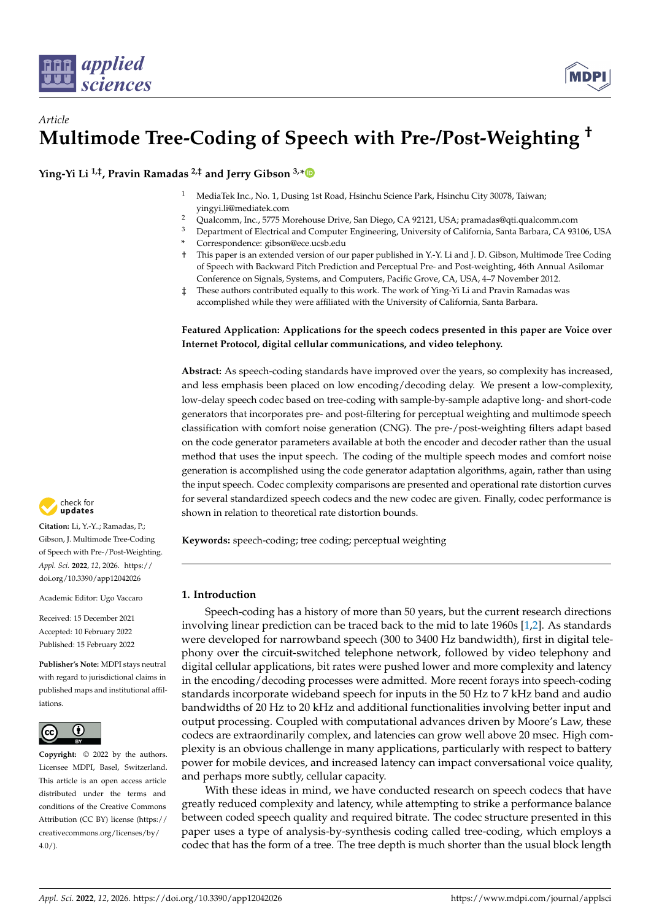

# *Article* **Multimode Tree-Coding of Speech with Pre-/Post-Weighting †**

**Ying-Yi Li 1,‡, Pravin Ramadas 2,‡ and Jerry Gibson 3,[\\*](https://orcid.org/0000-0002-9827-1196)**

- <sup>1</sup> MediaTek Inc., No. 1, Dusing 1st Road, Hsinchu Science Park, Hsinchu City 30078, Taiwan; yingyi.li@mediatek.com
- <sup>2</sup> Qualcomm, Inc., 5775 Morehouse Drive, San Diego, CA 92121, USA; pramadas@qti.qualcomm.com
- <sup>3</sup> Department of Electrical and Computer Engineering, University of California, Santa Barbara, CA 93106, USA
	- **\*** Correspondence: gibson@ece.ucsb.edu
- † This paper is an extended version of our paper published in Y.-Y. Li and J. D. Gibson, Multimode Tree Coding of Speech with Backward Pitch Prediction and Perceptual Pre- and Post-weighting, 46th Annual Asilomar Conference on Signals, Systems, and Computers, Pacific Grove, CA, USA, 4–7 November 2012.
- These authors contributed equally to this work. The work of Ying-Yi Li and Pravin Ramadas was accomplished while they were affiliated with the University of California, Santa Barbara.

# **Featured Application: Applications for the speech codecs presented in this paper are Voice over Internet Protocol, digital cellular communications, and video telephony.**

**Abstract:** As speech-coding standards have improved over the years, so complexity has increased, and less emphasis been placed on low encoding/decoding delay. We present a low-complexity, low-delay speech codec based on tree-coding with sample-by-sample adaptive long- and short-code generators that incorporates pre- and post-filtering for perceptual weighting and multimode speech classification with comfort noise generation (CNG). The pre-/post-weighting filters adapt based on the code generator parameters available at both the encoder and decoder rather than the usual method that uses the input speech. The coding of the multiple speech modes and comfort noise generation is accomplished using the code generator adaptation algorithms, again, rather than using the input speech. Codec complexity comparisons are presented and operational rate distortion curves for several standardized speech codecs and the new codec are given. Finally, codec performance is shown in relation to theoretical rate distortion bounds.

**Keywords:** speech-coding; tree coding; perceptual weighting

# **1. Introduction**

Speech-coding has a history of more than 50 years, but the current research directions involving linear prediction can be traced back to the mid to late 1960s [\[1,](#page-21-0)[2\]](#page-21-1). As standards were developed for narrowband speech (300 to 3400 Hz bandwidth), first in digital telephony over the circuit-switched telephone network, followed by video telephony and digital cellular applications, bit rates were pushed lower and more complexity and latency in the encoding/decoding processes were admitted. More recent forays into speech-coding standards incorporate wideband speech for inputs in the 50 Hz to 7 kHz band and audio bandwidths of 20 Hz to 20 kHz and additional functionalities involving better input and output processing. Coupled with computational advances driven by Moore's Law, these codecs are extraordinarily complex, and latencies can grow well above 20 msec. High complexity is an obvious challenge in many applications, particularly with respect to battery power for mobile devices, and increased latency can impact conversational voice quality, and perhaps more subtly, cellular capacity.

With these ideas in mind, we have conducted research on speech codecs that have greatly reduced complexity and latency, while attempting to strike a performance balance between coded speech quality and required bitrate. The codec structure presented in this paper uses a type of analysis-by-synthesis coding called tree-coding, which employs a codec that has the form of a tree. The tree depth is much shorter than the usual block length



**Citation:** Li, Y.-Y..; Ramadas, P.; Gibson, J. Multimode Tree-Coding of Speech with Pre-/Post-Weighting. *Appl. Sci.* **2022**, *12*, 2026. [https://](https://doi.org/10.3390/app12042026) [doi.org/10.3390/app12042026](https://doi.org/10.3390/app12042026)

Academic Editor: Ugo Vaccaro

Received: 15 December 2021 Accepted: 10 February 2022 Published: 15 February 2022

**Publisher's Note:** MDPI stays neutral with regard to jurisdictional claims in published maps and institutional affiliations.



**Copyright:** © 2022 by the authors. Licensee MDPI, Basel, Switzerland. This article is an open access article distributed under the terms and conditions of the Creative Commons Attribution (CC BY) license [\(https://](https://creativecommons.org/licenses/by/4.0/) [creativecommons.org/licenses/by/](https://creativecommons.org/licenses/by/4.0/)  $4.0/$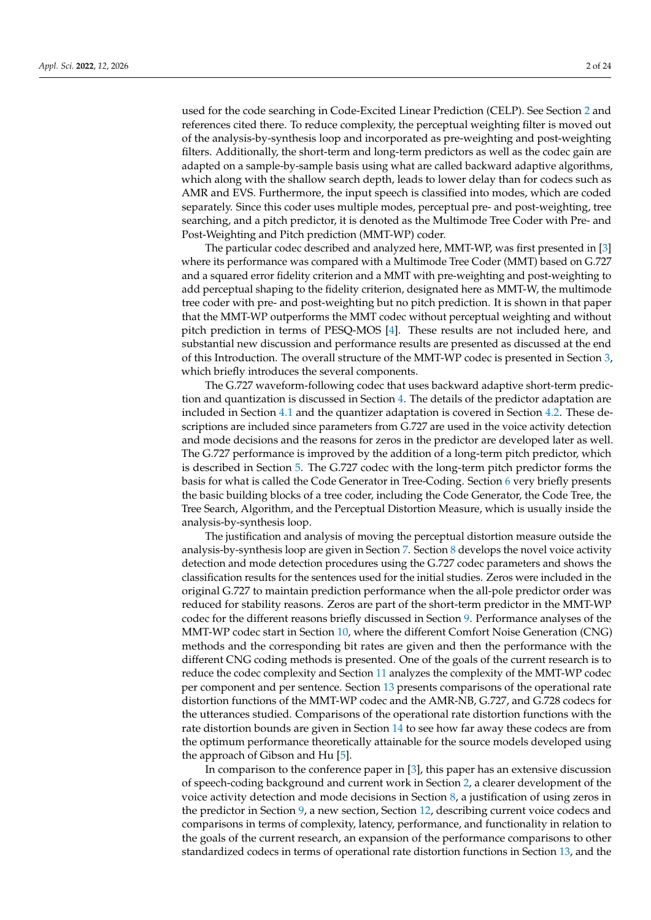used for the code searching in Code-Excited Linear Prediction (CELP). See Section [2](#page-2-0) and references cited there. To reduce complexity, the perceptual weighting filter is moved out of the analysis-by-synthesis loop and incorporated as pre-weighting and post-weighting filters. Additionally, the short-term and long-term predictors as well as the codec gain are adapted on a sample-by-sample basis using what are called backward adaptive algorithms, which along with the shallow search depth, leads to lower delay than for codecs such as AMR and EVS. Furthermore, the input speech is classified into modes, which are coded separately. Since this coder uses multiple modes, perceptual pre- and post-weighting, tree searching, and a pitch predictor, it is denoted as the Multimode Tree Coder with Pre- and Post-Weighting and Pitch prediction (MMT-WP) coder.

The particular codec described and analyzed here, MMT-WP, was first presented in [\[3\]](#page-21-2) where its performance was compared with a Multimode Tree Coder (MMT) based on G.727 and a squared error fidelity criterion and a MMT with pre-weighting and post-weighting to add perceptual shaping to the fidelity criterion, designated here as MMT-W, the multimode tree coder with pre- and post-weighting but no pitch prediction. It is shown in that paper that the MMT-WP outperforms the MMT codec without perceptual weighting and without pitch prediction in terms of PESQ-MOS [\[4\]](#page-21-3). These results are not included here, and substantial new discussion and performance results are presented as discussed at the end of this Introduction. The overall structure of the MMT-WP codec is presented in Section [3,](#page-4-0) which briefly introduces the several components.

The G.727 waveform-following codec that uses backward adaptive short-term prediction and quantization is discussed in Section [4.](#page-5-0) The details of the predictor adaptation are included in Section [4.1](#page-6-0) and the quantizer adaptation is covered in Section [4.2.](#page-6-1) These descriptions are included since parameters from G.727 are used in the voice activity detection and mode decisions and the reasons for zeros in the predictor are developed later as well. The G.727 performance is improved by the addition of a long-term pitch predictor, which is described in Section [5.](#page-6-2) The G.727 codec with the long-term pitch predictor forms the basis for what is called the Code Generator in Tree-Coding. Section [6](#page-7-0) very briefly presents the basic building blocks of a tree coder, including the Code Generator, the Code Tree, the Tree Search, Algorithm, and the Perceptual Distortion Measure, which is usually inside the analysis-by-synthesis loop.

The justification and analysis of moving the perceptual distortion measure outside the analysis-by-synthesis loop are given in Section [7.](#page-8-0) Section [8](#page-9-0) develops the novel voice activity detection and mode detection procedures using the G.727 codec parameters and shows the classification results for the sentences used for the initial studies. Zeros were included in the original G.727 to maintain prediction performance when the all-pole predictor order was reduced for stability reasons. Zeros are part of the short-term predictor in the MMT-WP codec for the different reasons briefly discussed in Section [9.](#page-12-0) Performance analyses of the MMT-WP codec start in Section [10,](#page-12-1) where the different Comfort Noise Generation (CNG) methods and the corresponding bit rates are given and then the performance with the different CNG coding methods is presented. One of the goals of the current research is to reduce the codec complexity and Section [11](#page-13-0) analyzes the complexity of the MMT-WP codec per component and per sentence. Section [13](#page-14-0) presents comparisons of the operational rate distortion functions of the MMT-WP codec and the AMR-NB, G.727, and G.728 codecs for the utterances studied. Comparisons of the operational rate distortion functions with the rate distortion bounds are given in Section [14](#page-19-0) to see how far away these codecs are from the optimum performance theoretically attainable for the source models developed using the approach of Gibson and Hu [\[5\]](#page-21-4).

In comparison to the conference paper in [\[3\]](#page-21-2), this paper has an extensive discussion of speech-coding background and current work in Section [2,](#page-2-0) a clearer development of the voice activity detection and mode decisions in Section [8,](#page-9-0) a justification of using zeros in the predictor in Section [9,](#page-12-0) a new section, Section [12,](#page-14-1) describing current voice codecs and comparisons in terms of complexity, latency, performance, and functionality in relation to the goals of the current research, an expansion of the performance comparisons to other standardized codecs in terms of operational rate distortion functions in Section [13,](#page-14-0) and the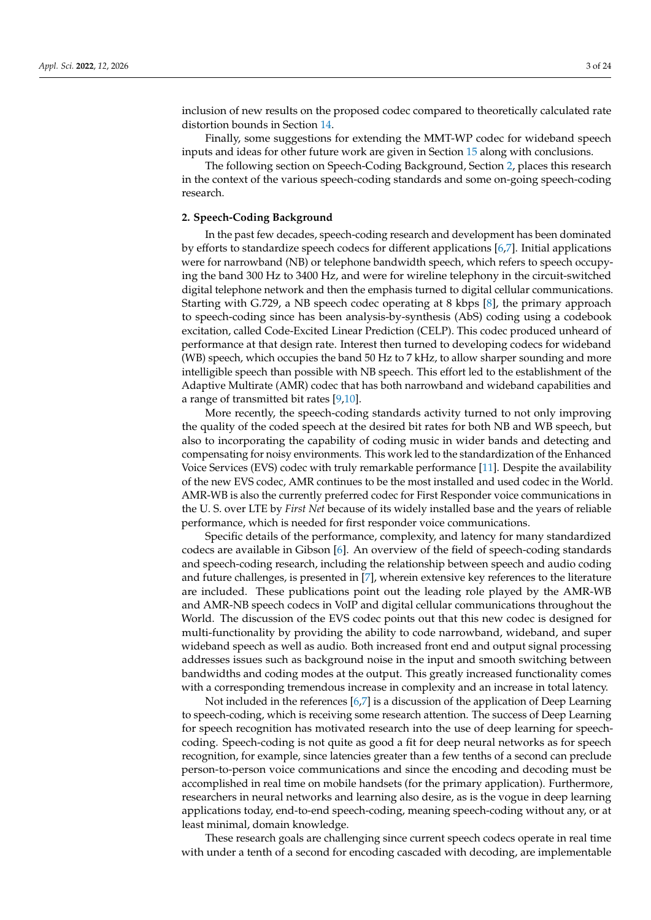inclusion of new results on the proposed codec compared to theoretically calculated rate distortion bounds in Section [14.](#page-19-0)

Finally, some suggestions for extending the MMT-WP codec for wideband speech inputs and ideas for other future work are given in Section [15](#page-21-5) along with conclusions.

The following section on Speech-Coding Background, Section [2,](#page-2-0) places this research in the context of the various speech-coding standards and some on-going speech-coding research.

# <span id="page-2-0"></span>**2. Speech-Coding Background**

In the past few decades, speech-coding research and development has been dominated by efforts to standardize speech codecs for different applications [\[6](#page-21-6)[,7\]](#page-22-0). Initial applications were for narrowband (NB) or telephone bandwidth speech, which refers to speech occupying the band 300 Hz to 3400 Hz, and were for wireline telephony in the circuit-switched digital telephone network and then the emphasis turned to digital cellular communications. Starting with G.729, a NB speech codec operating at 8 kbps [\[8\]](#page-22-1), the primary approach to speech-coding since has been analysis-by-synthesis (AbS) coding using a codebook excitation, called Code-Excited Linear Prediction (CELP). This codec produced unheard of performance at that design rate. Interest then turned to developing codecs for wideband (WB) speech, which occupies the band 50 Hz to 7 kHz, to allow sharper sounding and more intelligible speech than possible with NB speech. This effort led to the establishment of the Adaptive Multirate (AMR) codec that has both narrowband and wideband capabilities and a range of transmitted bit rates [\[9](#page-22-2)[,10\]](#page-22-3).

More recently, the speech-coding standards activity turned to not only improving the quality of the coded speech at the desired bit rates for both NB and WB speech, but also to incorporating the capability of coding music in wider bands and detecting and compensating for noisy environments. This work led to the standardization of the Enhanced Voice Services (EVS) codec with truly remarkable performance [\[11\]](#page-22-4). Despite the availability of the new EVS codec, AMR continues to be the most installed and used codec in the World. AMR-WB is also the currently preferred codec for First Responder voice communications in the U. S. over LTE by *First Net* because of its widely installed base and the years of reliable performance, which is needed for first responder voice communications.

Specific details of the performance, complexity, and latency for many standardized codecs are available in Gibson [\[6\]](#page-21-6). An overview of the field of speech-coding standards and speech-coding research, including the relationship between speech and audio coding and future challenges, is presented in [\[7\]](#page-22-0), wherein extensive key references to the literature are included. These publications point out the leading role played by the AMR-WB and AMR-NB speech codecs in VoIP and digital cellular communications throughout the World. The discussion of the EVS codec points out that this new codec is designed for multi-functionality by providing the ability to code narrowband, wideband, and super wideband speech as well as audio. Both increased front end and output signal processing addresses issues such as background noise in the input and smooth switching between bandwidths and coding modes at the output. This greatly increased functionality comes with a corresponding tremendous increase in complexity and an increase in total latency.

Not included in the references [\[6](#page-21-6)[,7\]](#page-22-0) is a discussion of the application of Deep Learning to speech-coding, which is receiving some research attention. The success of Deep Learning for speech recognition has motivated research into the use of deep learning for speechcoding. Speech-coding is not quite as good a fit for deep neural networks as for speech recognition, for example, since latencies greater than a few tenths of a second can preclude person-to-person voice communications and since the encoding and decoding must be accomplished in real time on mobile handsets (for the primary application). Furthermore, researchers in neural networks and learning also desire, as is the vogue in deep learning applications today, end-to-end speech-coding, meaning speech-coding without any, or at least minimal, domain knowledge.

These research goals are challenging since current speech codecs operate in real time with under a tenth of a second for encoding cascaded with decoding, are implementable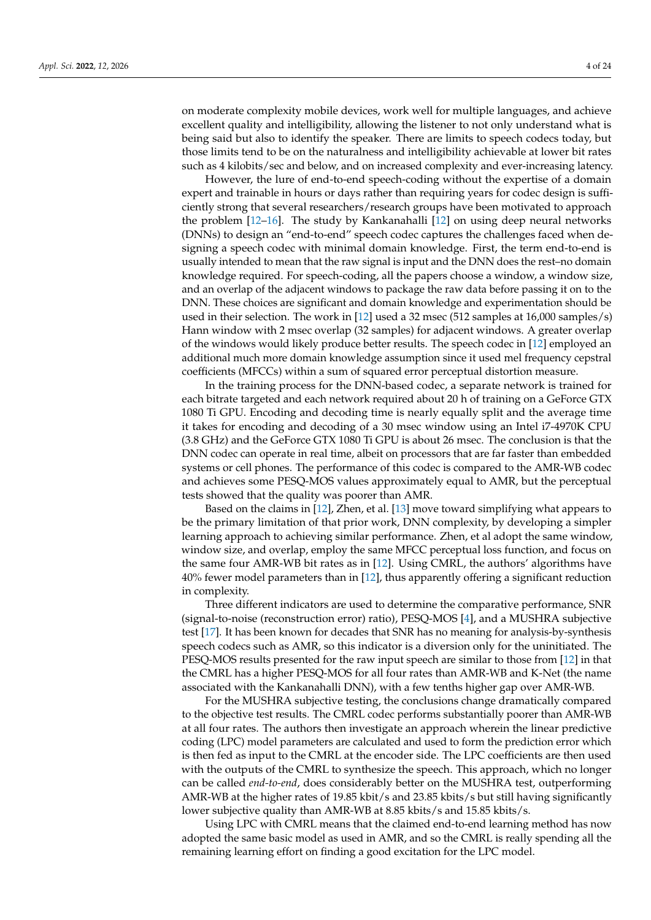on moderate complexity mobile devices, work well for multiple languages, and achieve excellent quality and intelligibility, allowing the listener to not only understand what is being said but also to identify the speaker. There are limits to speech codecs today, but those limits tend to be on the naturalness and intelligibility achievable at lower bit rates such as 4 kilobits/sec and below, and on increased complexity and ever-increasing latency.

However, the lure of end-to-end speech-coding without the expertise of a domain expert and trainable in hours or days rather than requiring years for codec design is sufficiently strong that several researchers/research groups have been motivated to approach the problem [\[12](#page-22-5)[–16\]](#page-22-6). The study by Kankanahalli [\[12\]](#page-22-5) on using deep neural networks (DNNs) to design an "end-to-end" speech codec captures the challenges faced when designing a speech codec with minimal domain knowledge. First, the term end-to-end is usually intended to mean that the raw signal is input and the DNN does the rest–no domain knowledge required. For speech-coding, all the papers choose a window, a window size, and an overlap of the adjacent windows to package the raw data before passing it on to the DNN. These choices are significant and domain knowledge and experimentation should be used in their selection. The work in [\[12\]](#page-22-5) used a 32 msec (512 samples at 16,000 samples/s) Hann window with 2 msec overlap (32 samples) for adjacent windows. A greater overlap of the windows would likely produce better results. The speech codec in [\[12\]](#page-22-5) employed an additional much more domain knowledge assumption since it used mel frequency cepstral coefficients (MFCCs) within a sum of squared error perceptual distortion measure.

In the training process for the DNN-based codec, a separate network is trained for each bitrate targeted and each network required about 20 h of training on a GeForce GTX 1080 Ti GPU. Encoding and decoding time is nearly equally split and the average time it takes for encoding and decoding of a 30 msec window using an Intel i7-4970K CPU (3.8 GHz) and the GeForce GTX 1080 Ti GPU is about 26 msec. The conclusion is that the DNN codec can operate in real time, albeit on processors that are far faster than embedded systems or cell phones. The performance of this codec is compared to the AMR-WB codec and achieves some PESQ-MOS values approximately equal to AMR, but the perceptual tests showed that the quality was poorer than AMR.

Based on the claims in [\[12\]](#page-22-5), Zhen, et al. [\[13\]](#page-22-7) move toward simplifying what appears to be the primary limitation of that prior work, DNN complexity, by developing a simpler learning approach to achieving similar performance. Zhen, et al adopt the same window, window size, and overlap, employ the same MFCC perceptual loss function, and focus on the same four AMR-WB bit rates as in [\[12\]](#page-22-5). Using CMRL, the authors' algorithms have 40% fewer model parameters than in [\[12\]](#page-22-5), thus apparently offering a significant reduction in complexity.

Three different indicators are used to determine the comparative performance, SNR (signal-to-noise (reconstruction error) ratio), PESQ-MOS [\[4\]](#page-21-3), and a MUSHRA subjective test [\[17\]](#page-22-8). It has been known for decades that SNR has no meaning for analysis-by-synthesis speech codecs such as AMR, so this indicator is a diversion only for the uninitiated. The PESQ-MOS results presented for the raw input speech are similar to those from [\[12\]](#page-22-5) in that the CMRL has a higher PESQ-MOS for all four rates than AMR-WB and K-Net (the name associated with the Kankanahalli DNN), with a few tenths higher gap over AMR-WB.

For the MUSHRA subjective testing, the conclusions change dramatically compared to the objective test results. The CMRL codec performs substantially poorer than AMR-WB at all four rates. The authors then investigate an approach wherein the linear predictive coding (LPC) model parameters are calculated and used to form the prediction error which is then fed as input to the CMRL at the encoder side. The LPC coefficients are then used with the outputs of the CMRL to synthesize the speech. This approach, which no longer can be called *end-to-end*, does considerably better on the MUSHRA test, outperforming AMR-WB at the higher rates of 19.85 kbit/s and 23.85 kbits/s but still having significantly lower subjective quality than AMR-WB at 8.85 kbits/s and 15.85 kbits/s.

Using LPC with CMRL means that the claimed end-to-end learning method has now adopted the same basic model as used in AMR, and so the CMRL is really spending all the remaining learning effort on finding a good excitation for the LPC model.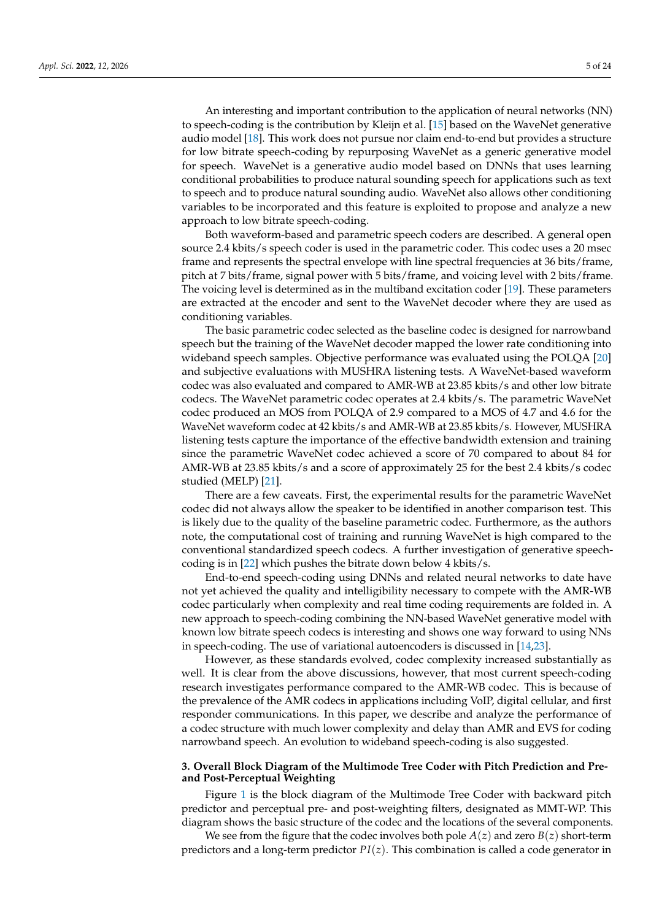An interesting and important contribution to the application of neural networks (NN) to speech-coding is the contribution by Kleijn et al. [\[15\]](#page-22-9) based on the WaveNet generative audio model [\[18\]](#page-22-10). This work does not pursue nor claim end-to-end but provides a structure for low bitrate speech-coding by repurposing WaveNet as a generic generative model for speech. WaveNet is a generative audio model based on DNNs that uses learning conditional probabilities to produce natural sounding speech for applications such as text to speech and to produce natural sounding audio. WaveNet also allows other conditioning variables to be incorporated and this feature is exploited to propose and analyze a new approach to low bitrate speech-coding.

Both waveform-based and parametric speech coders are described. A general open source 2.4 kbits/s speech coder is used in the parametric coder. This codec uses a 20 msec frame and represents the spectral envelope with line spectral frequencies at 36 bits/frame, pitch at 7 bits/frame, signal power with 5 bits/frame, and voicing level with 2 bits/frame. The voicing level is determined as in the multiband excitation coder [\[19\]](#page-22-11). These parameters are extracted at the encoder and sent to the WaveNet decoder where they are used as conditioning variables.

The basic parametric codec selected as the baseline codec is designed for narrowband speech but the training of the WaveNet decoder mapped the lower rate conditioning into wideband speech samples. Objective performance was evaluated using the POLQA [\[20\]](#page-22-12) and subjective evaluations with MUSHRA listening tests. A WaveNet-based waveform codec was also evaluated and compared to AMR-WB at 23.85 kbits/s and other low bitrate codecs. The WaveNet parametric codec operates at 2.4 kbits/s. The parametric WaveNet codec produced an MOS from POLQA of 2.9 compared to a MOS of 4.7 and 4.6 for the WaveNet waveform codec at 42 kbits/s and AMR-WB at 23.85 kbits/s. However, MUSHRA listening tests capture the importance of the effective bandwidth extension and training since the parametric WaveNet codec achieved a score of 70 compared to about 84 for AMR-WB at 23.85 kbits/s and a score of approximately 25 for the best 2.4 kbits/s codec studied (MELP) [\[21\]](#page-22-13).

There are a few caveats. First, the experimental results for the parametric WaveNet codec did not always allow the speaker to be identified in another comparison test. This is likely due to the quality of the baseline parametric codec. Furthermore, as the authors note, the computational cost of training and running WaveNet is high compared to the conventional standardized speech codecs. A further investigation of generative speechcoding is in [\[22\]](#page-22-14) which pushes the bitrate down below 4 kbits/s.

End-to-end speech-coding using DNNs and related neural networks to date have not yet achieved the quality and intelligibility necessary to compete with the AMR-WB codec particularly when complexity and real time coding requirements are folded in. A new approach to speech-coding combining the NN-based WaveNet generative model with known low bitrate speech codecs is interesting and shows one way forward to using NNs in speech-coding. The use of variational autoencoders is discussed in [\[14](#page-22-15)[,23\]](#page-22-16).

However, as these standards evolved, codec complexity increased substantially as well. It is clear from the above discussions, however, that most current speech-coding research investigates performance compared to the AMR-WB codec. This is because of the prevalence of the AMR codecs in applications including VoIP, digital cellular, and first responder communications. In this paper, we describe and analyze the performance of a codec structure with much lower complexity and delay than AMR and EVS for coding narrowband speech. An evolution to wideband speech-coding is also suggested.

# <span id="page-4-0"></span>**3. Overall Block Diagram of the Multimode Tree Coder with Pitch Prediction and Preand Post-Perceptual Weighting**

Figure [1](#page-5-1) is the block diagram of the Multimode Tree Coder with backward pitch predictor and perceptual pre- and post-weighting filters, designated as MMT-WP. This diagram shows the basic structure of the codec and the locations of the several components.

We see from the figure that the codec involves both pole  $A(z)$  and zero  $B(z)$  short-term predictors and a long-term predictor *PI*(*z*). This combination is called a code generator in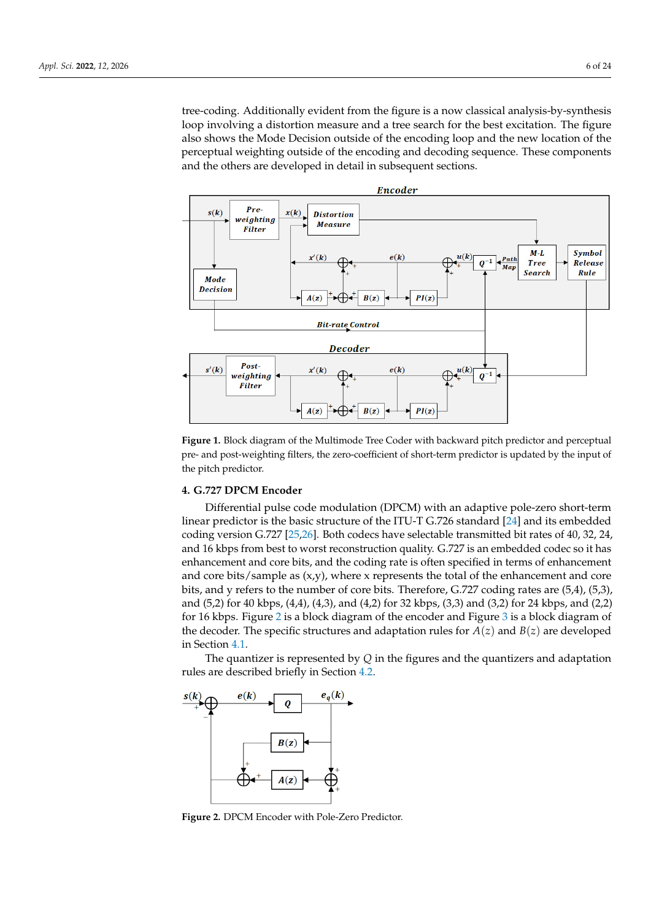tree-coding. Additionally evident from the figure is a now classical analysis-by-synthesis loop involving a distortion measure and a tree search for the best excitation. The figure also shows the Mode Decision outside of the encoding loop and the new location of the perceptual weighting outside of the encoding and decoding sequence. These components and the others are developed in detail in subsequent sections.

<span id="page-5-1"></span>

**Figure 1.** Block diagram of the Multimode Tree Coder with backward pitch predictor and perceptual pre- and post-weighting filters, the zero-coefficient of short-term predictor is updated by the input of the pitch predictor.

# <span id="page-5-0"></span>**4. G.727 DPCM Encoder**

Differential pulse code modulation (DPCM) with an adaptive pole-zero short-term linear predictor is the basic structure of the ITU-T G.726 standard [\[24\]](#page-22-17) and its embedded coding version G.727 [\[25](#page-22-18)[,26\]](#page-22-19). Both codecs have selectable transmitted bit rates of 40, 32, 24, and 16 kbps from best to worst reconstruction quality. G.727 is an embedded codec so it has enhancement and core bits, and the coding rate is often specified in terms of enhancement and core bits/sample as  $(x,y)$ , where x represents the total of the enhancement and core bits, and y refers to the number of core bits. Therefore, G.727 coding rates are (5,4), (5,3), and (5,2) for 40 kbps, (4,4), (4,3), and (4,2) for 32 kbps, (3,3) and (3,2) for 24 kbps, and (2,2) for 16 kbps. Figure [2](#page-5-2) is a block diagram of the encoder and Figure [3](#page-6-3) is a block diagram of the decoder. The specific structures and adaptation rules for  $A(z)$  and  $B(z)$  are developed in Section [4.1.](#page-6-0)

The quantizer is represented by *Q* in the figures and the quantizers and adaptation rules are described briefly in Section [4.2.](#page-6-1)

<span id="page-5-2"></span>

**Figure 2.** DPCM Encoder with Pole-Zero Predictor.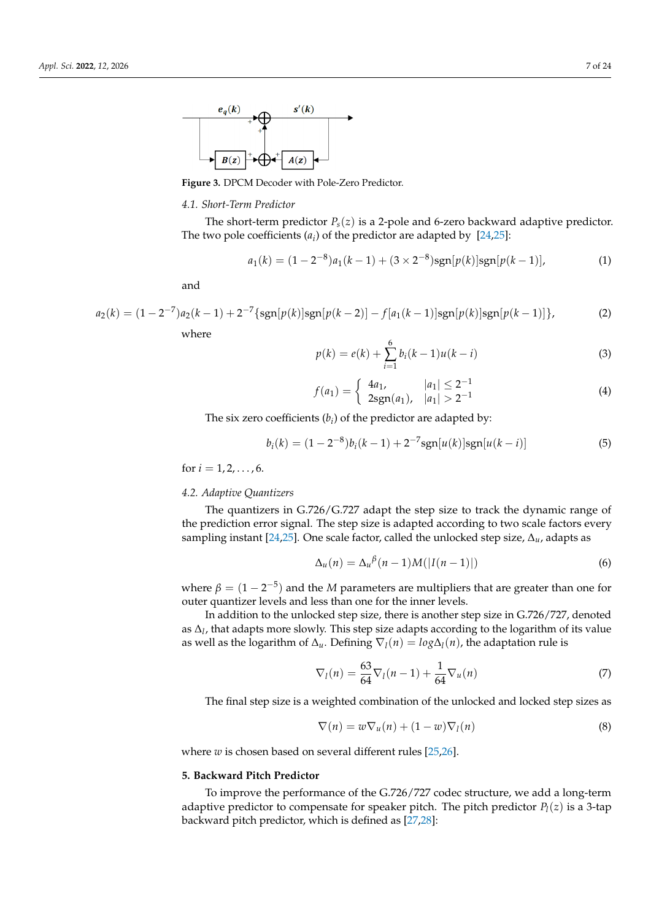<span id="page-6-3"></span>

**Figure 3.** DPCM Decoder with Pole-Zero Predictor.

#### <span id="page-6-0"></span>*4.1. Short-Term Predictor*

The short-term predictor  $P_s(z)$  is a 2-pole and 6-zero backward adaptive predictor. The two pole coefficients  $(a_i)$  of the predictor are adapted by  $[24,25]$  $[24,25]$ :

$$
a_1(k) = (1 - 2^{-8})a_1(k - 1) + (3 \times 2^{-8})\text{sgn}[p(k)]\text{sgn}[p(k - 1)],\tag{1}
$$

and

$$
a_2(k) = (1 - 2^{-7})a_2(k - 1) + 2^{-7} \{ \text{sgn}[p(k)] \text{sgn}[p(k - 2)] - f[a_1(k - 1)] \text{sgn}[p(k)] \text{sgn}[p(k - 1)] \},
$$
 (2)

where

$$
p(k) = e(k) + \sum_{i=1}^{6} b_i(k-1)u(k-i)
$$
\n(3)

$$
f(a_1) = \begin{cases} 4a_1, & |a_1| \le 2^{-1} \\ 2\operatorname{sgn}(a_1), & |a_1| > 2^{-1} \end{cases}
$$
 (4)

The six zero coefficients  $(b_i)$  of the predictor are adapted by:

$$
b_i(k) = (1 - 2^{-8})b_i(k - 1) + 2^{-7}sgn[u(k)]sgn[u(k - i)]
$$
\n(5)

for  $i = 1, 2, \ldots, 6$ .

## <span id="page-6-1"></span>*4.2. Adaptive Quantizers*

The quantizers in G.726/G.727 adapt the step size to track the dynamic range of the prediction error signal. The step size is adapted according to two scale factors every sampling instant [\[24](#page-22-17)[,25\]](#page-22-18). One scale factor, called the unlocked step size, ∆*u*, adapts as

$$
\Delta_u(n) = \Delta_u^{\beta}(n-1)M(|I(n-1)|)
$$
\n(6)

where  $\beta = (1 - 2^{-5})$  and the *M* parameters are multipliers that are greater than one for outer quantizer levels and less than one for the inner levels.

In addition to the unlocked step size, there is another step size in G.726/727, denoted as ∆*<sup>l</sup>* , that adapts more slowly. This step size adapts according to the logarithm of its value as well as the logarithm of  $\Delta_u$ . Defining  $\nabla_l(n) = log \Delta_l(n)$ , the adaptation rule is

$$
\nabla_l(n) = \frac{63}{64} \nabla_l(n-1) + \frac{1}{64} \nabla_u(n)
$$
\n(7)

The final step size is a weighted combination of the unlocked and locked step sizes as

$$
\nabla(n) = w \nabla_u(n) + (1 - w) \nabla_l(n)
$$
\n(8)

where *w* is chosen based on several different rules [\[25,](#page-22-18)[26\]](#page-22-19).

#### <span id="page-6-2"></span>**5. Backward Pitch Predictor**

To improve the performance of the G.726/727 codec structure, we add a long-term adaptive predictor to compensate for speaker pitch. The pitch predictor *P<sup>l</sup>* (*z*) is a 3-tap backward pitch predictor, which is defined as [\[27](#page-22-20)[,28\]](#page-22-21):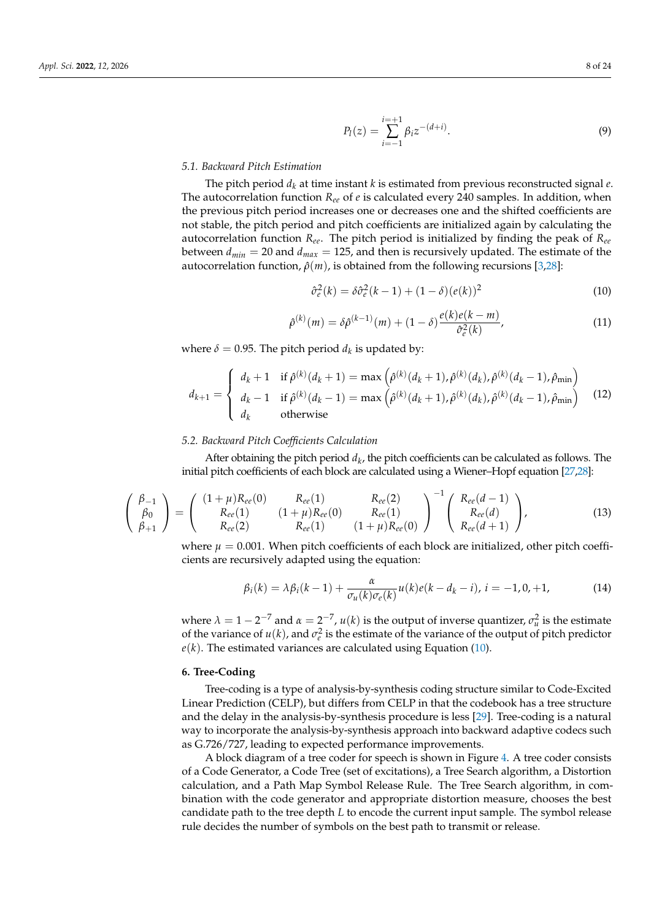$$
P_l(z) = \sum_{i=-1}^{i=+1} \beta_i z^{-(d+i)}.
$$
\n(9)

## *5.1. Backward Pitch Estimation*

The pitch period  $d_k$  at time instant  $k$  is estimated from previous reconstructed signal  $e$ . The autocorrelation function *Ree* of *e* is calculated every 240 samples. In addition, when the previous pitch period increases one or decreases one and the shifted coefficients are not stable, the pitch period and pitch coefficients are initialized again by calculating the autocorrelation function *Ree*. The pitch period is initialized by finding the peak of *Ree* between  $d_{min} = 20$  and  $d_{max} = 125$ , and then is recursively updated. The estimate of the autocorrelation function,  $ρ(m)$ , is obtained from the following recursions [\[3,](#page-21-2)[28\]](#page-22-21):

<span id="page-7-1"></span>
$$
\hat{\sigma}_e^2(k) = \delta \hat{\sigma}_e^2(k-1) + (1-\delta)(e(k))^2 \tag{10}
$$

$$
\hat{\rho}^{(k)}(m) = \delta \hat{\rho}^{(k-1)}(m) + (1-\delta) \frac{e(k)e(k-m)}{\hat{\sigma}_e^2(k)},
$$
\n(11)

where  $\delta = 0.95$ . The pitch period  $d_k$  is updated by:

$$
d_{k+1} = \begin{cases} d_k + 1 & \text{if } \hat{\rho}^{(k)}(d_k + 1) = \max\left(\hat{\rho}^{(k)}(d_k + 1), \hat{\rho}^{(k)}(d_k), \hat{\rho}^{(k)}(d_k - 1), \hat{\rho}_{\min}\right) \\ d_k - 1 & \text{if } \hat{\rho}^{(k)}(d_k - 1) = \max\left(\hat{\rho}^{(k)}(d_k + 1), \hat{\rho}^{(k)}(d_k), \hat{\rho}^{(k)}(d_k - 1), \hat{\rho}_{\min}\right) \\ d_k & \text{otherwise} \end{cases}
$$
(12)

## *5.2. Backward Pitch Coefficients Calculation*

After obtaining the pitch period  $d_k$ , the pitch coefficients can be calculated as follows. The initial pitch coefficients of each block are calculated using a Wiener–Hopf equation [\[27](#page-22-20)[,28\]](#page-22-21):

$$
\begin{pmatrix}\n\beta_{-1} \\
\beta_0 \\
\beta_{+1}\n\end{pmatrix} = \begin{pmatrix}\n(1+\mu)R_{ee}(0) & R_{ee}(1) & R_{ee}(2) \\
R_{ee}(1) & (1+\mu)R_{ee}(0) & R_{ee}(1) \\
R_{ee}(1) & (1+\mu)R_{ee}(0)\n\end{pmatrix}^{-1} \begin{pmatrix}\nR_{ee}(d-1) \\
R_{ee}(d) \\
R_{ee}(d+1)\n\end{pmatrix},
$$
\n(13)

where  $\mu = 0.001$ . When pitch coefficients of each block are initialized, other pitch coefficients are recursively adapted using the equation:

$$
\beta_i(k) = \lambda \beta_i(k-1) + \frac{\alpha}{\sigma_u(k)\sigma_e(k)} u(k)e(k - d_k - i), \, i = -1, 0, +1,
$$
\n(14)

where  $\lambda = 1 - 2^{-7}$  and  $\alpha = 2^{-7}$ ,  $u(k)$  is the output of inverse quantizer,  $\sigma_u^2$  is the estimate of the variance of  $u(k)$ , and  $\sigma_e^2$  is the estimate of the variance of the output of pitch predictor  $e(k)$ . The estimated variances are calculated using Equation [\(10\)](#page-7-1).

## <span id="page-7-0"></span>**6. Tree-Coding**

Tree-coding is a type of analysis-by-synthesis coding structure similar to Code-Excited Linear Prediction (CELP), but differs from CELP in that the codebook has a tree structure and the delay in the analysis-by-synthesis procedure is less [\[29\]](#page-22-22). Tree-coding is a natural way to incorporate the analysis-by-synthesis approach into backward adaptive codecs such as G.726/727, leading to expected performance improvements.

A block diagram of a tree coder for speech is shown in Figure [4.](#page-8-1) A tree coder consists of a Code Generator, a Code Tree (set of excitations), a Tree Search algorithm, a Distortion calculation, and a Path Map Symbol Release Rule. The Tree Search algorithm, in combination with the code generator and appropriate distortion measure, chooses the best candidate path to the tree depth *L* to encode the current input sample. The symbol release rule decides the number of symbols on the best path to transmit or release.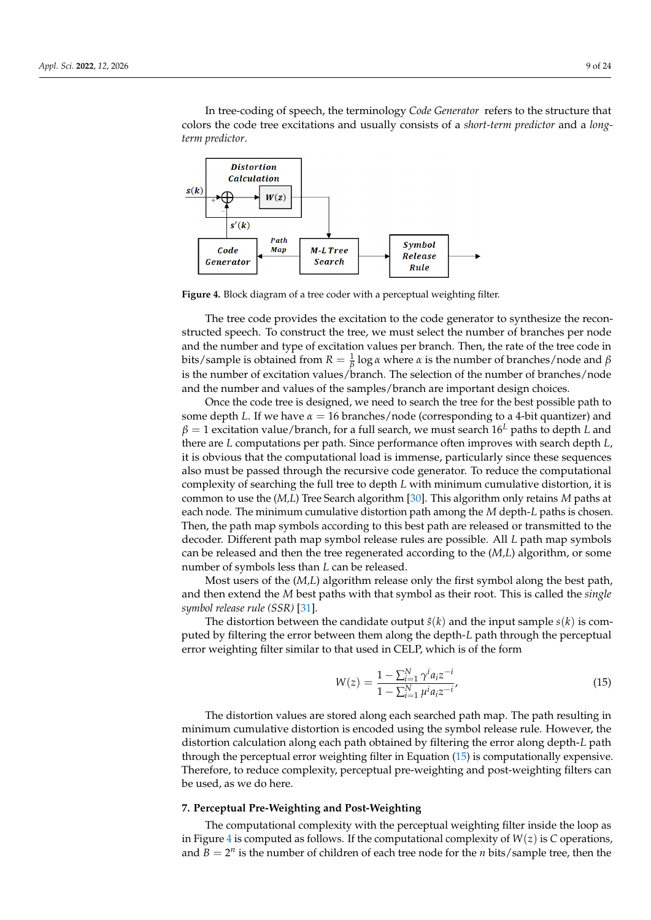In tree-coding of speech, the terminology *Code Generator* refers to the structure that colors the code tree excitations and usually consists of a *short-term predictor* and a *longterm predictor*.

<span id="page-8-1"></span>

**Figure 4.** Block diagram of a tree coder with a perceptual weighting filter.

The tree code provides the excitation to the code generator to synthesize the reconstructed speech. To construct the tree, we must select the number of branches per node and the number and type of excitation values per branch. Then, the rate of the tree code in bits/sample is obtained from  $R = \frac{1}{\beta} \log \alpha$  where  $\alpha$  is the number of branches/node and  $\beta$ is the number of excitation values/branch. The selection of the number of branches/node and the number and values of the samples/branch are important design choices.

Once the code tree is designed, we need to search the tree for the best possible path to some depth *L*. If we have  $\alpha = 16$  branches/node (corresponding to a 4-bit quantizer) and *β* = 1 excitation value/branch, for a full search, we must search 16*<sup>L</sup>* paths to depth *L* and there are *L* computations per path. Since performance often improves with search depth *L*, it is obvious that the computational load is immense, particularly since these sequences also must be passed through the recursive code generator. To reduce the computational complexity of searching the full tree to depth *L* with minimum cumulative distortion, it is common to use the (*M,L*) Tree Search algorithm [\[30\]](#page-22-23). This algorithm only retains *M* paths at each node. The minimum cumulative distortion path among the *M* depth-*L* paths is chosen. Then, the path map symbols according to this best path are released or transmitted to the decoder. Different path map symbol release rules are possible. All *L* path map symbols can be released and then the tree regenerated according to the (*M,L*) algorithm, or some number of symbols less than *L* can be released.

Most users of the (*M,L*) algorithm release only the first symbol along the best path, and then extend the *M* best paths with that symbol as their root. This is called the *single symbol release rule (SSR)* [\[31\]](#page-22-24).

The distortion between the candidate output  $\hat{s}(k)$  and the input sample  $s(k)$  is computed by filtering the error between them along the depth-*L* path through the perceptual error weighting filter similar to that used in CELP, which is of the form

<span id="page-8-2"></span>
$$
W(z) = \frac{1 - \sum_{i=1}^{N} \gamma^i a_i z^{-i}}{1 - \sum_{i=1}^{N} \mu^i a_i z^{-i}},
$$
\n(15)

The distortion values are stored along each searched path map. The path resulting in minimum cumulative distortion is encoded using the symbol release rule. However, the distortion calculation along each path obtained by filtering the error along depth-*L* path through the perceptual error weighting filter in Equation [\(15\)](#page-8-2) is computationally expensive. Therefore, to reduce complexity, perceptual pre-weighting and post-weighting filters can be used, as we do here.

# <span id="page-8-0"></span>**7. Perceptual Pre-Weighting and Post-Weighting**

The computational complexity with the perceptual weighting filter inside the loop as in Figure [4](#page-8-1) is computed as follows. If the computational complexity of *W*(*z*) is *C* operations, and  $B = 2^n$  is the number of children of each tree node for the *n* bits/sample tree, then the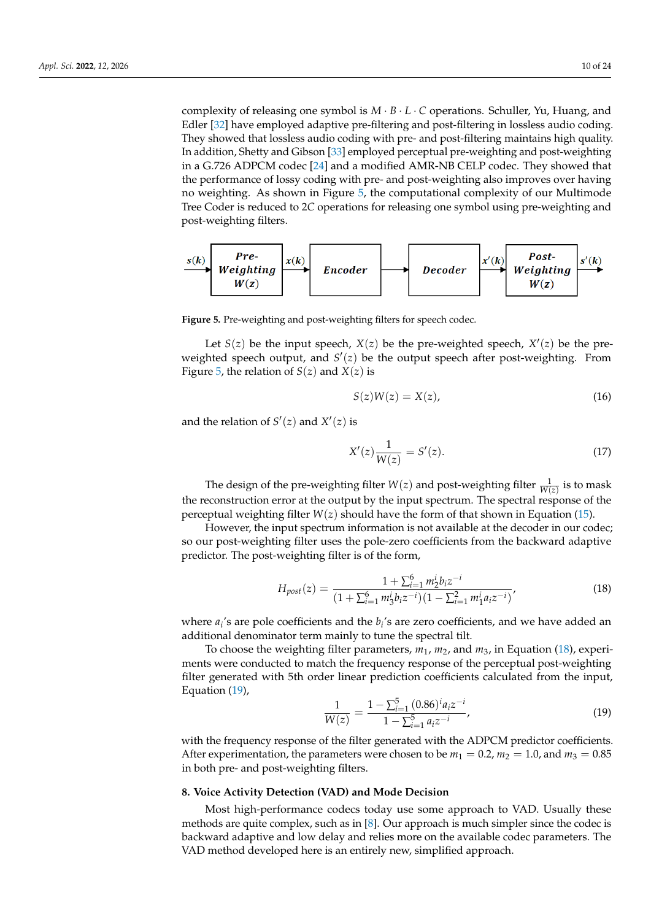complexity of releasing one symbol is *M* · *B* · *L* · *C* operations. Schuller, Yu, Huang, and Edler [\[32\]](#page-22-25) have employed adaptive pre-filtering and post-filtering in lossless audio coding. They showed that lossless audio coding with pre- and post-filtering maintains high quality. In addition, Shetty and Gibson [\[33\]](#page-22-26) employed perceptual pre-weighting and post-weighting in a G.726 ADPCM codec [\[24\]](#page-22-17) and a modified AMR-NB CELP codec. They showed that the performance of lossy coding with pre- and post-weighting also improves over having no weighting. As shown in Figure [5,](#page-9-1) the computational complexity of our Multimode Tree Coder is reduced to 2*C* operations for releasing one symbol using pre-weighting and post-weighting filters.

<span id="page-9-1"></span>

**Figure 5.** Pre-weighting and post-weighting filters for speech codec.

Let  $S(z)$  be the input speech,  $X(z)$  be the pre-weighted speech,  $X'(z)$  be the preweighted speech output, and  $S'(z)$  be the output speech after post-weighting. From Figure [5,](#page-9-1) the relation of  $S(z)$  and  $X(z)$  is

$$
S(z)W(z) = X(z),\tag{16}
$$

and the relation of  $S'(z)$  and  $X'(z)$  is

$$
X'(z)\frac{1}{W(z)} = S'(z). \tag{17}
$$

The design of the pre-weighting filter  $W(z)$  and post-weighting filter  $\frac{1}{W(z)}$  is to mask the reconstruction error at the output by the input spectrum. The spectral response of the perceptual weighting filter *W*(*z*) should have the form of that shown in Equation [\(15\)](#page-8-2).

However, the input spectrum information is not available at the decoder in our codec; so our post-weighting filter uses the pole-zero coefficients from the backward adaptive predictor. The post-weighting filter is of the form,

<span id="page-9-2"></span>
$$
H_{post}(z) = \frac{1 + \sum_{i=1}^{6} m_2^i b_i z^{-i}}{(1 + \sum_{i=1}^{6} m_3^i b_i z^{-i})(1 - \sum_{i=1}^{2} m_1^i a_i z^{-i})},
$$
(18)

where *a<sup>i</sup>* 's are pole coefficients and the *b<sup>i</sup>* 's are zero coefficients, and we have added an additional denominator term mainly to tune the spectral tilt.

To choose the weighting filter parameters,  $m_1$ ,  $m_2$ , and  $m_3$ , in Equation [\(18\)](#page-9-2), experiments were conducted to match the frequency response of the perceptual post-weighting filter generated with 5th order linear prediction coefficients calculated from the input, Equation [\(19\)](#page-9-3),

<span id="page-9-3"></span>
$$
\frac{1}{W(z)} = \frac{1 - \sum_{i=1}^{5} (0.86)^i a_i z^{-i}}{1 - \sum_{i=1}^{5} a_i z^{-i}},
$$
(19)

with the frequency response of the filter generated with the ADPCM predictor coefficients. After experimentation, the parameters were chosen to be  $m_1 = 0.2$ ,  $m_2 = 1.0$ , and  $m_3 = 0.85$ in both pre- and post-weighting filters.

#### <span id="page-9-0"></span>**8. Voice Activity Detection (VAD) and Mode Decision**

Most high-performance codecs today use some approach to VAD. Usually these methods are quite complex, such as in [\[8\]](#page-22-1). Our approach is much simpler since the codec is backward adaptive and low delay and relies more on the available codec parameters. The VAD method developed here is an entirely new, simplified approach.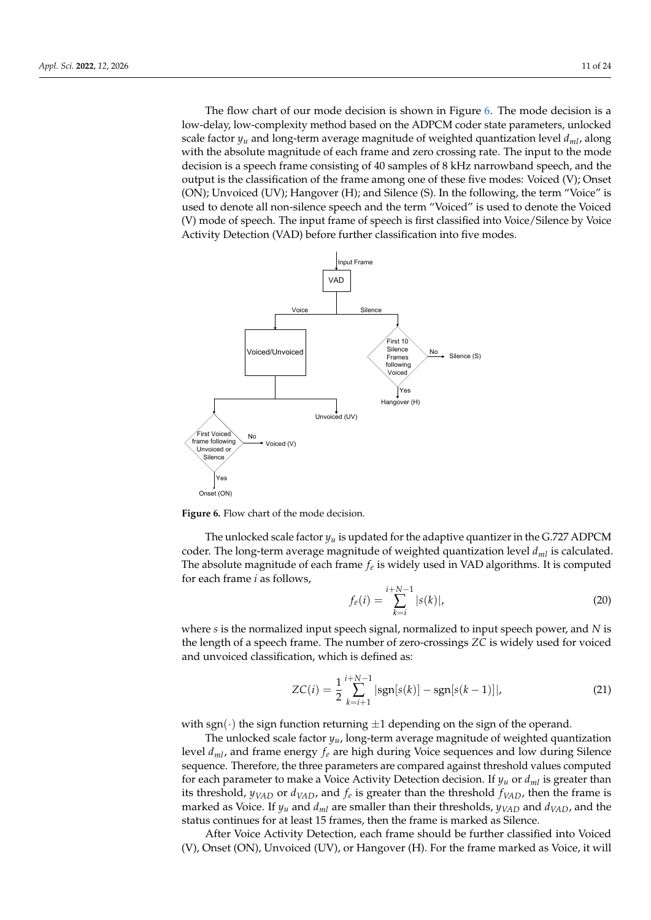The flow chart of our mode decision is shown in Figure [6.](#page-10-0) The mode decision is a low-delay, low-complexity method based on the ADPCM coder state parameters, unlocked scale factor  $y_\mu$  and long-term average magnitude of weighted quantization level  $d_{ml}$ , along with the absolute magnitude of each frame and zero crossing rate. The input to the mode decision is a speech frame consisting of 40 samples of 8 kHz narrowband speech, and the output is the classification of the frame among one of these five modes: Voiced (V); Onset (ON); Unvoiced (UV); Hangover (H); and Silence (S). In the following, the term "Voice" is used to denote all non-silence speech and the term "Voiced" is used to denote the Voiced (V) mode of speech. The input frame of speech is first classified into Voice/Silence by Voice Activity Detection (VAD) before further classification into five modes.

<span id="page-10-0"></span>

**Figure 6.** Flow chart of the mode decision **Figure 6.** Flow chart of the mode decision.

The unlocked scale factor  $y_u$  is updated for the adaptive quantizer in the G.727 ADPCM coder. The long-term average magnitude of weighted quantization level  $d_{ml}$  is calculated. The absolute magnitude of each frame  $f_e$  is widely used in VAD algorithms. It is computed  $f_e$  is  $g_e$  is  $f_e$  is  $g_e$  is widely used in VAD algorithms. It is computed for each frame *i* as follows,  $i+N-1$ 

$$
f_e(i) = \sum_{k=i}^{i+N-1} |s(k)|,
$$
\n(20)

*fe*(*i*) =  $\frac{d}{dx}$ <sup>1</sup> $\frac{d}{dx}$ *the length of a speech frame. The number of zero-crossings <i>ZC* is widely used for voiced<br>and unvaised elessification, which is defined as: *k*=*i* and unvoiced classification, which is defined as: where *s* is the normalized input speech signal, normalized to input speech power, and *N* is

$$
ZC(i) = \frac{1}{2} \sum_{k=i+1}^{i+N-1} |\text{sgn}[s(k)] - \text{sgn}[s(k-1)]|,
$$
\n(21)

 $\left(\cdot\right)$  the sign function with sgn( $\cdot$ ) the sign function returning  $\pm 1$  depending on the sign of the operand.<br>The unlocked scale factor  $\mu$ , long term average magnitude of weighted guar

 $\sup_{\mathcal{L}} f(x)$  the sign function feturning  $\pm 1$  depending on the sign of the operation.<br>The unlocked scale factor  $y_u$ , long-term average magnitude of weighted quantization  $\frac{1}{m}$  function  $\frac{1}{m}$  and  $\frac{1}{m}$  depending  $\frac{1}{m}$  and  $\frac{1}{m}$  and  $\frac{1}{m}$  and  $\frac{1}{m}$  and  $\frac{1}{m}$  and  $\frac{1}{m}$  and  $\frac{1}{m}$  and  $\frac{1}{m}$  and  $\frac{1}{m}$  and  $\frac{1}{m}$  and  $\frac{1}{m}$  and  $\frac{1}{m}$  and for each parameter to make a Voice Activity Detection decision. If  $y_u$  or  $d_{ml}$  is greater than its threshold,  $y_{VAD}$  or  $d_{VAD}$ , and  $f_e$  is greater than the threshold  $f_{VAD}$ , then the frame is marked as Voice. If  $y_u$  and  $d_{ml}$  are smaller than their thresholds,  $y_{VAD}$  and  $d_{VAD}$ , and the status continues for at least 15 frames, then the frame is marked as Silence. level *dml*, and frame energy *f<sup>e</sup>* are high during Voice sequences and low during Silence

After Voice Activity Detection, each frame should be further classified into Voiced (V), Onset (ON), Unvoiced (UV), or Hangover (H). For the frame marked as Voice, it will

and *dVAD*, and the status continues for at least 15 frames, then the frame is marked as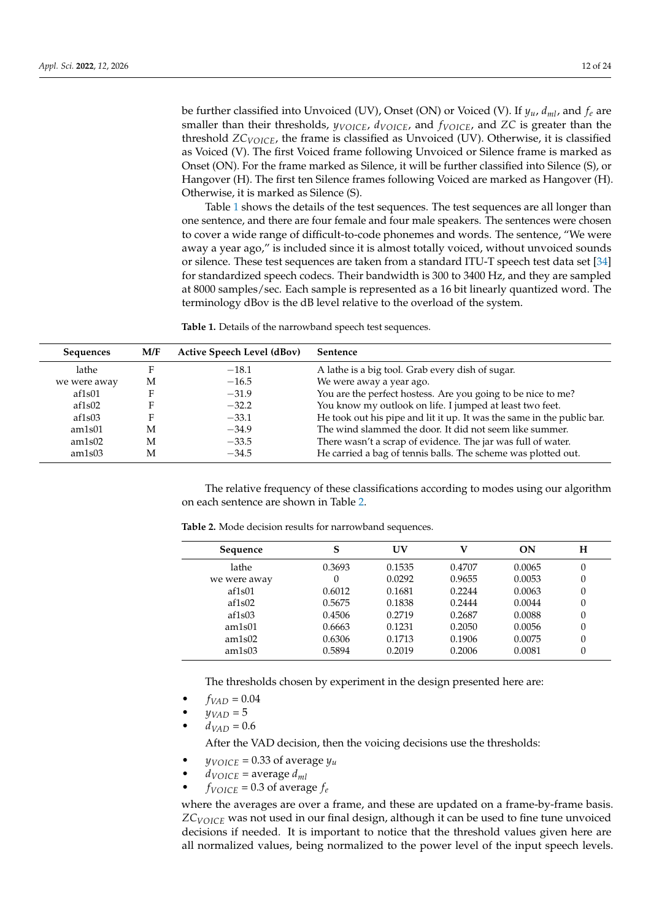be further classified into Unvoiced (UV), Onset (ON) or Voiced (V). If *yu*, *dml*, and *f<sup>e</sup>* are smaller than their thresholds, *yVOICE*, *dVOICE*, and *fVOICE*, and *ZC* is greater than the threshold *ZCVOICE*, the frame is classified as Unvoiced (UV). Otherwise, it is classified as Voiced (V). The first Voiced frame following Unvoiced or Silence frame is marked as Onset (ON). For the frame marked as Silence, it will be further classified into Silence (S), or Hangover (H). The first ten Silence frames following Voiced are marked as Hangover (H). Otherwise, it is marked as Silence (S).

Table [1](#page-11-0) shows the details of the test sequences. The test sequences are all longer than one sentence, and there are four female and four male speakers. The sentences were chosen to cover a wide range of difficult-to-code phonemes and words. The sentence, "We were away a year ago," is included since it is almost totally voiced, without unvoiced sounds or silence. These test sequences are taken from a standard ITU-T speech test data set [\[34\]](#page-22-27) for standardized speech codecs. Their bandwidth is 300 to 3400 Hz, and they are sampled at 8000 samples/sec. Each sample is represented as a 16 bit linearly quantized word. The terminology dBov is the dB level relative to the overload of the system.

<span id="page-11-0"></span>**Table 1.** Details of the narrowband speech test sequences.

| <b>Sequences</b> | M/F | <b>Active Speech Level (dBov)</b> | <b>Sentence</b>                                                        |
|------------------|-----|-----------------------------------|------------------------------------------------------------------------|
| lathe            |     | $-18.1$                           | A lathe is a big tool. Grab every dish of sugar.                       |
| we were away     | M   | $-16.5$                           | We were away a year ago.                                               |
| af1s01           |     | $-31.9$                           | You are the perfect hostess. Are you going to be nice to me?           |
| af1s02           |     | $-32.2$                           | You know my outlook on life. I jumped at least two feet.               |
| af1s03           |     | $-33.1$                           | He took out his pipe and lit it up. It was the same in the public bar. |
| am1s01           | M   | $-34.9$                           | The wind slammed the door. It did not seem like summer.                |
| am1s02           | M   | $-33.5$                           | There wasn't a scrap of evidence. The jar was full of water.           |
| am1s03           | M   | $-34.5$                           | He carried a bag of tennis balls. The scheme was plotted out.          |

The relative frequency of these classifications according to modes using our algorithm on each sentence are shown in Table [2.](#page-11-1)

| Sequence     | S      | UV     |        | ON     | н |
|--------------|--------|--------|--------|--------|---|
| lathe        | 0.3693 | 0.1535 | 0.4707 | 0.0065 | 0 |
| we were away | 0      | 0.0292 | 0.9655 | 0.0053 | 0 |
| af1s01       | 0.6012 | 0.1681 | 0.2244 | 0.0063 | 0 |
| af1s02       | 0.5675 | 0.1838 | 0.2444 | 0.0044 | 0 |
| af1s03       | 0.4506 | 0.2719 | 0.2687 | 0.0088 | 0 |
| am1s01       | 0.6663 | 0.1231 | 0.2050 | 0.0056 | 0 |
| am1s02       | 0.6306 | 0.1713 | 0.1906 | 0.0075 | 0 |
| am1s03       | 0.5894 | 0.2019 | 0.2006 | 0.0081 | 0 |

<span id="page-11-1"></span>**Table 2.** Mode decision results for narrowband sequences.

The thresholds chosen by experiment in the design presented here are:

- $f_{VAD} = 0.04$
- $y_{VAD} = 5$
- $d_{VAD} = 0.6$

After the VAD decision, then the voicing decisions use the thresholds:

- $y_{VOICE} = 0.33$  of average  $y_u$
- $d_{VOICE}$  = average  $d_{ml}$
- $f_{VOICE} = 0.3$  of average  $f_e$

where the averages are over a frame, and these are updated on a frame-by-frame basis. *ZCVOICE* was not used in our final design, although it can be used to fine tune unvoiced decisions if needed. It is important to notice that the threshold values given here are all normalized values, being normalized to the power level of the input speech levels.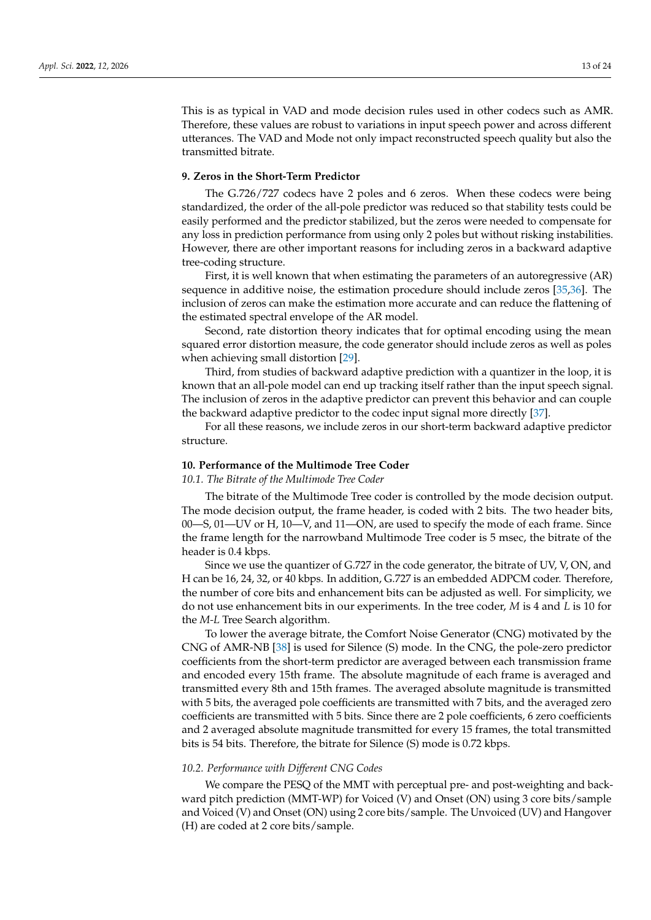This is as typical in VAD and mode decision rules used in other codecs such as AMR. Therefore, these values are robust to variations in input speech power and across different utterances. The VAD and Mode not only impact reconstructed speech quality but also the transmitted bitrate.

#### <span id="page-12-0"></span>**9. Zeros in the Short-Term Predictor**

The G.726/727 codecs have 2 poles and 6 zeros. When these codecs were being standardized, the order of the all-pole predictor was reduced so that stability tests could be easily performed and the predictor stabilized, but the zeros were needed to compensate for any loss in prediction performance from using only 2 poles but without risking instabilities. However, there are other important reasons for including zeros in a backward adaptive tree-coding structure.

First, it is well known that when estimating the parameters of an autoregressive (AR) sequence in additive noise, the estimation procedure should include zeros [\[35,](#page-22-28)[36\]](#page-22-29). The inclusion of zeros can make the estimation more accurate and can reduce the flattening of the estimated spectral envelope of the AR model.

Second, rate distortion theory indicates that for optimal encoding using the mean squared error distortion measure, the code generator should include zeros as well as poles when achieving small distortion [\[29\]](#page-22-22).

Third, from studies of backward adaptive prediction with a quantizer in the loop, it is known that an all-pole model can end up tracking itself rather than the input speech signal. The inclusion of zeros in the adaptive predictor can prevent this behavior and can couple the backward adaptive predictor to the codec input signal more directly [\[37\]](#page-22-30).

For all these reasons, we include zeros in our short-term backward adaptive predictor structure.

### <span id="page-12-1"></span>**10. Performance of the Multimode Tree Coder**

### *10.1. The Bitrate of the Multimode Tree Coder*

The bitrate of the Multimode Tree coder is controlled by the mode decision output. The mode decision output, the frame header, is coded with 2 bits. The two header bits, 00—S, 01—UV or H, 10—V, and 11—ON, are used to specify the mode of each frame. Since the frame length for the narrowband Multimode Tree coder is 5 msec, the bitrate of the header is 0.4 kbps.

Since we use the quantizer of G.727 in the code generator, the bitrate of UV, V, ON, and H can be 16, 24, 32, or 40 kbps. In addition, G.727 is an embedded ADPCM coder. Therefore, the number of core bits and enhancement bits can be adjusted as well. For simplicity, we do not use enhancement bits in our experiments. In the tree coder, *M* is 4 and *L* is 10 for the *M-L* Tree Search algorithm.

To lower the average bitrate, the Comfort Noise Generator (CNG) motivated by the CNG of AMR-NB [\[38\]](#page-22-31) is used for Silence (S) mode. In the CNG, the pole-zero predictor coefficients from the short-term predictor are averaged between each transmission frame and encoded every 15th frame. The absolute magnitude of each frame is averaged and transmitted every 8th and 15th frames. The averaged absolute magnitude is transmitted with 5 bits, the averaged pole coefficients are transmitted with 7 bits, and the averaged zero coefficients are transmitted with 5 bits. Since there are 2 pole coefficients, 6 zero coefficients and 2 averaged absolute magnitude transmitted for every 15 frames, the total transmitted bits is 54 bits. Therefore, the bitrate for Silence (S) mode is 0.72 kbps.

## *10.2. Performance with Different CNG Codes*

We compare the PESQ of the MMT with perceptual pre- and post-weighting and backward pitch prediction (MMT-WP) for Voiced (V) and Onset (ON) using 3 core bits/sample and Voiced (V) and Onset (ON) using 2 core bits/sample. The Unvoiced (UV) and Hangover (H) are coded at 2 core bits/sample.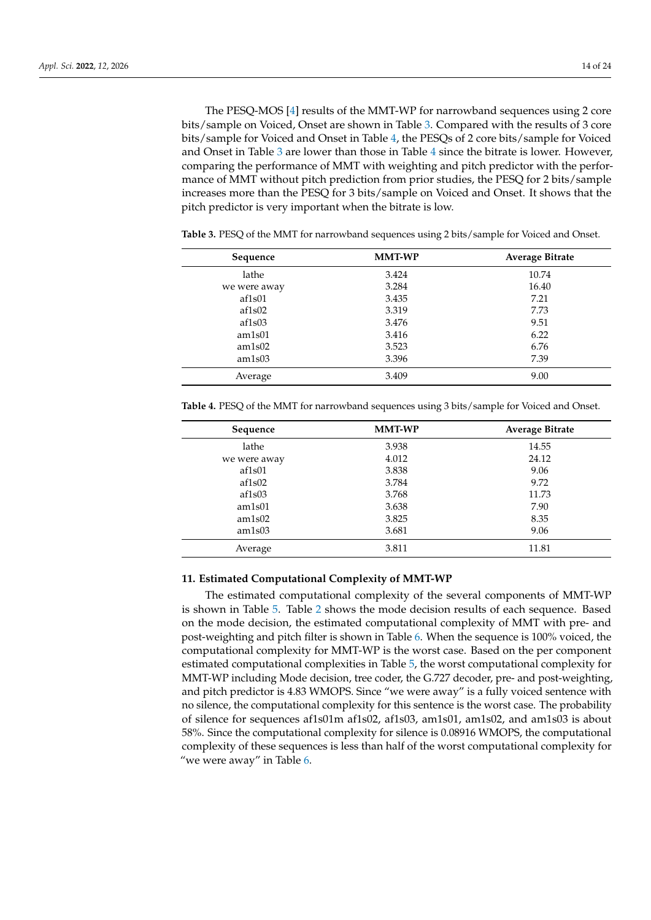The PESQ-MOS [\[4\]](#page-21-3) results of the MMT-WP for narrowband sequences using 2 core bits/sample on Voiced, Onset are shown in Table [3.](#page-13-1) Compared with the results of 3 core bits/sample for Voiced and Onset in Table [4,](#page-13-2) the PESQs of 2 core bits/sample for Voiced and Onset in Table [3](#page-13-1) are lower than those in Table [4](#page-13-2) since the bitrate is lower. However, comparing the performance of MMT with weighting and pitch predictor with the performance of MMT without pitch prediction from prior studies, the PESQ for 2 bits/sample increases more than the PESQ for 3 bits/sample on Voiced and Onset. It shows that the pitch predictor is very important when the bitrate is low.

| Sequence     | <b>MMT-WP</b> | <b>Average Bitrate</b> |
|--------------|---------------|------------------------|
| lathe        | 3.424         | 10.74                  |
| we were away | 3.284         | 16.40                  |
| af1s01       | 3.435         | 7.21                   |
| af1s02       | 3.319         | 7.73                   |
| af1s03       | 3.476         | 9.51                   |
| am1s01       | 3.416         | 6.22                   |
| am1s02       | 3.523         | 6.76                   |
| am1s03       | 3.396         | 7.39                   |
| Average      | 3.409         | 9.00                   |

<span id="page-13-1"></span>**Table 3.** PESQ of the MMT for narrowband sequences using 2 bits/sample for Voiced and Onset.

<span id="page-13-2"></span>**Table 4.** PESQ of the MMT for narrowband sequences using 3 bits/sample for Voiced and Onset.

| Sequence     | <b>MMT-WP</b> | <b>Average Bitrate</b> |
|--------------|---------------|------------------------|
| lathe        | 3.938         | 14.55                  |
| we were away | 4.012         | 24.12                  |
| af1s01       | 3.838         | 9.06                   |
| af1s02       | 3.784         | 9.72                   |
| af1s03       | 3.768         | 11.73                  |
| am1s01       | 3.638         | 7.90                   |
| am1s02       | 3.825         | 8.35                   |
| am1s03       | 3.681         | 9.06                   |
| Average      | 3.811         | 11.81                  |

# <span id="page-13-0"></span>**11. Estimated Computational Complexity of MMT-WP**

The estimated computational complexity of the several components of MMT-WP is shown in Table [5.](#page-14-2) Table [2](#page-11-1) shows the mode decision results of each sequence. Based on the mode decision, the estimated computational complexity of MMT with pre- and post-weighting and pitch filter is shown in Table [6.](#page-14-3) When the sequence is 100% voiced, the computational complexity for MMT-WP is the worst case. Based on the per component estimated computational complexities in Table [5,](#page-14-2) the worst computational complexity for MMT-WP including Mode decision, tree coder, the G.727 decoder, pre- and post-weighting, and pitch predictor is 4.83 WMOPS. Since "we were away" is a fully voiced sentence with no silence, the computational complexity for this sentence is the worst case. The probability of silence for sequences af1s01m af1s02, af1s03, am1s01, am1s02, and am1s03 is about 58%. Since the computational complexity for silence is 0.08916 WMOPS, the computational complexity of these sequences is less than half of the worst computational complexity for "we were away" in Table [6.](#page-14-3)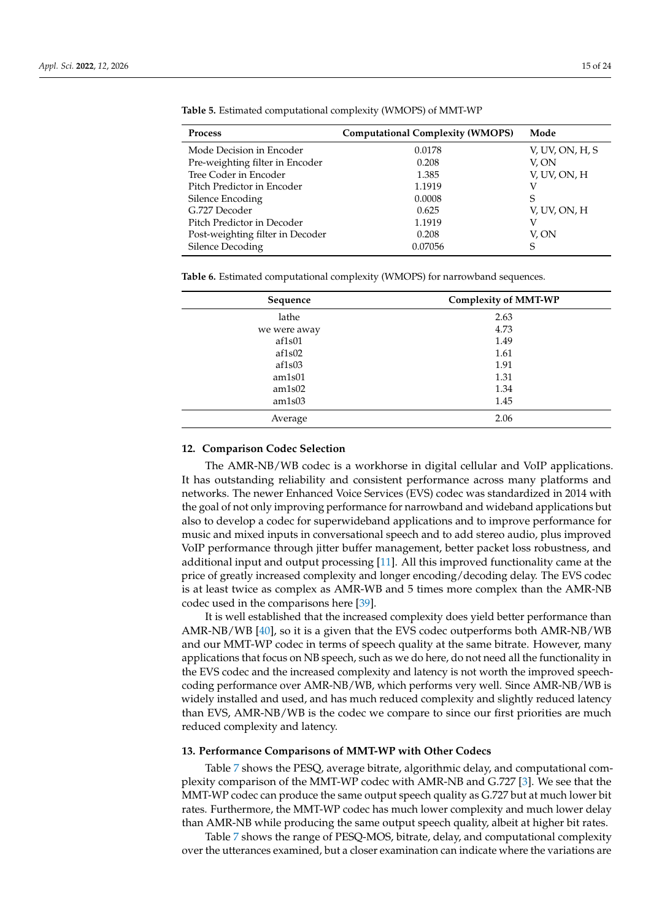| <b>Process</b>                   | <b>Computational Complexity (WMOPS)</b> | Mode            |
|----------------------------------|-----------------------------------------|-----------------|
| Mode Decision in Encoder         | 0.0178                                  | V, UV, ON, H, S |
| Pre-weighting filter in Encoder  | 0.208                                   | V. ON           |
| Tree Coder in Encoder            | 1.385                                   | V, UV, ON, H    |
| Pitch Predictor in Encoder       | 1.1919                                  |                 |
| Silence Encoding                 | 0.0008                                  | S               |
| G.727 Decoder                    | 0.625                                   | V, UV, ON, H    |
| Pitch Predictor in Decoder       | 1.1919                                  |                 |
| Post-weighting filter in Decoder | 0.208                                   | V, ON           |
| Silence Decoding                 | 0.07056                                 |                 |
|                                  |                                         |                 |

<span id="page-14-2"></span>**Table 5.** Estimated computational complexity (WMOPS) of MMT-WP

<span id="page-14-3"></span>**Table 6.** Estimated computational complexity (WMOPS) for narrowband sequences.

| Sequence     | <b>Complexity of MMT-WP</b> |  |  |
|--------------|-----------------------------|--|--|
| lathe        | 2.63                        |  |  |
| we were away | 4.73                        |  |  |
| af1s01       | 1.49                        |  |  |
| af1s02       | 1.61                        |  |  |
| af1s03       | 1.91                        |  |  |
| am1s01       | 1.31                        |  |  |
| am1s02       | 1.34                        |  |  |
| am1s03       | 1.45                        |  |  |
| Average      | 2.06                        |  |  |

#### <span id="page-14-1"></span>**12. Comparison Codec Selection**

The AMR-NB/WB codec is a workhorse in digital cellular and VoIP applications. It has outstanding reliability and consistent performance across many platforms and networks. The newer Enhanced Voice Services (EVS) codec was standardized in 2014 with the goal of not only improving performance for narrowband and wideband applications but also to develop a codec for superwideband applications and to improve performance for music and mixed inputs in conversational speech and to add stereo audio, plus improved VoIP performance through jitter buffer management, better packet loss robustness, and additional input and output processing [\[11\]](#page-22-4). All this improved functionality came at the price of greatly increased complexity and longer encoding/decoding delay. The EVS codec is at least twice as complex as AMR-WB and 5 times more complex than the AMR-NB codec used in the comparisons here [\[39\]](#page-23-0).

It is well established that the increased complexity does yield better performance than AMR-NB/WB [\[40\]](#page-23-1), so it is a given that the EVS codec outperforms both AMR-NB/WB and our MMT-WP codec in terms of speech quality at the same bitrate. However, many applications that focus on NB speech, such as we do here, do not need all the functionality in the EVS codec and the increased complexity and latency is not worth the improved speechcoding performance over AMR-NB/WB, which performs very well. Since AMR-NB/WB is widely installed and used, and has much reduced complexity and slightly reduced latency than EVS, AMR-NB/WB is the codec we compare to since our first priorities are much reduced complexity and latency.

# <span id="page-14-0"></span>**13. Performance Comparisons of MMT-WP with Other Codecs**

Table [7](#page-15-0) shows the PESQ, average bitrate, algorithmic delay, and computational complexity comparison of the MMT-WP codec with AMR-NB and G.727 [\[3\]](#page-21-2). We see that the MMT-WP codec can produce the same output speech quality as G.727 but at much lower bit rates. Furthermore, the MMT-WP codec has much lower complexity and much lower delay than AMR-NB while producing the same output speech quality, albeit at higher bit rates.

Table [7](#page-15-0) shows the range of PESQ-MOS, bitrate, delay, and computational complexity over the utterances examined, but a closer examination can indicate where the variations are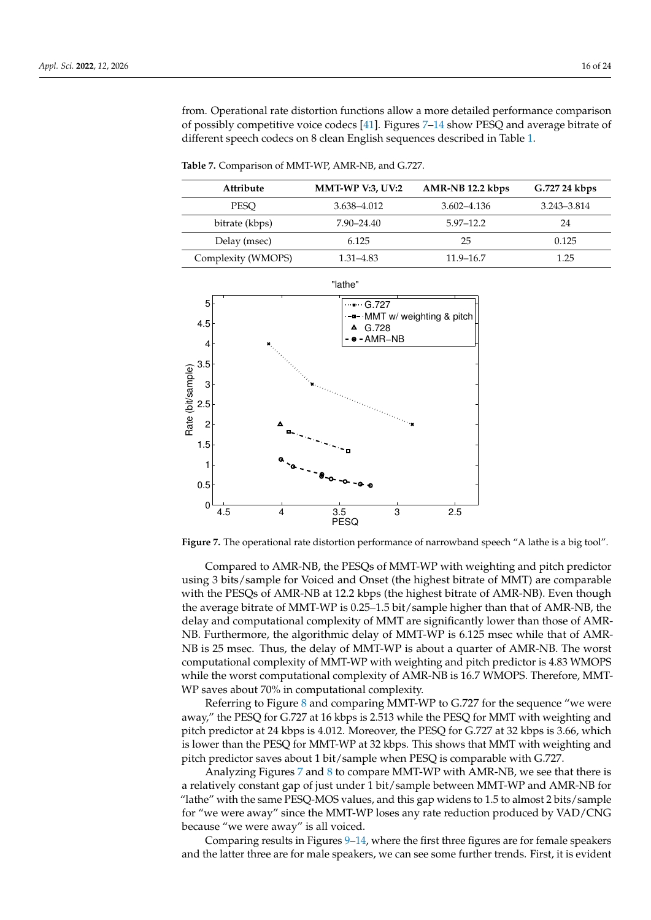from. Operational rate distortion functions allow a more detailed performance comparison of possibly competitive voice codecs [\[41\]](#page-23-2). Figures [7–](#page-15-1)[14](#page-19-1) show PESQ and average bitrate of different speech codecs on 8 clean English sequences described in Table [1.](#page-11-0)

<span id="page-15-0"></span>**Table 7.** Comparison of MMT-WP, AMR-NB, and G.727.

| Attribute          | <b>MMT-WP V:3, UV:2</b> | AMR-NB 12.2 kbps | G.727 24 kbps |
|--------------------|-------------------------|------------------|---------------|
| <b>PESO</b>        | 3.638-4.012             | $3.602 - 4.136$  | 3.243-3.814   |
| bitrate (kbps)     | 7.90–24.40              | $5.97 - 12.2$    | 24            |
| Delay (msec)       | 6.125                   | 25               | 0.125         |
| Complexity (WMOPS) | 1.31–4.83               | 11.9–16.7        | 1.25          |

<span id="page-15-1"></span>

**Figure 7.** The operational rate distortion performance of narrowband speech "A lathe is a big tool".

Compared to AMR-NB, the PESQs of MMT-WP with weighting and pitch predictor using 3 bits/sample for Voiced and Onset (the highest bitrate of MMT) are comparable with the PESQs of AMR-NB at 12.2 kbps (the highest bitrate of AMR-NB). Even though the average bitrate of MMT-WP is 0.25–1.5 bit/sample higher than that of AMR-NB, the delay and computational complexity of MMT are significantly lower than those of AMR-NB. Furthermore, the algorithmic delay of MMT-WP is 6.125 msec while that of AMR-NB is 25 msec. Thus, the delay of MMT-WP is about a quarter of AMR-NB. The worst computational complexity of MMT-WP with weighting and pitch predictor is 4.83 WMOPS while the worst computational complexity of AMR-NB is 16.7 WMOPS. Therefore, MMT-WP saves about 70% in computational complexity.

Referring to Figure [8](#page-16-0) and comparing MMT-WP to G.727 for the sequence "we were away," the PESQ for G.727 at 16 kbps is 2.513 while the PESQ for MMT with weighting and pitch predictor at 24 kbps is 4.012. Moreover, the PESQ for G.727 at 32 kbps is 3.66, which is lower than the PESQ for MMT-WP at 32 kbps. This shows that MMT with weighting and pitch predictor saves about 1 bit/sample when PESQ is comparable with G.727.

Analyzing Figures [7](#page-15-1) and [8](#page-16-0) to compare MMT-WP with AMR-NB, we see that there is a relatively constant gap of just under 1 bit/sample between MMT-WP and AMR-NB for "lathe" with the same PESQ-MOS values, and this gap widens to 1.5 to almost 2 bits/sample for "we were away" since the MMT-WP loses any rate reduction produced by VAD/CNG because "we were away" is all voiced.

Comparing results in Figures [9](#page-16-1)[–14,](#page-19-1) where the first three figures are for female speakers and the latter three are for male speakers, we can see some further trends. First, it is evident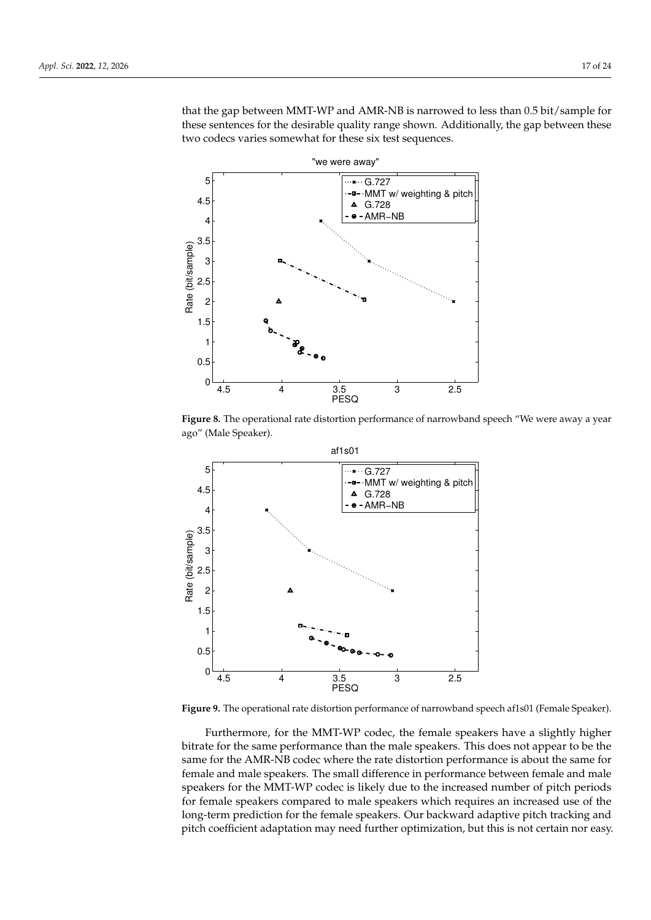that the gap between MMT-WP and AMR-NB is narrowed to less than 0.5 bit/sample for these sentences for the desirable quality range shown. Additionally, the gap between these two codecs varies somewhat for these six test sequences.

<span id="page-16-0"></span>

**Figure 8.** The operational rate distortion performance of narrowband speech "We were away a year ago" (Male Speaker).

<span id="page-16-1"></span>

**Figure 9.** The operational rate distortion performance of narrowband speech af1s01 (Female Speaker).

Furthermore, for the MMT-WP codec, the female speakers have a slightly higher bitrate for the same performance than the male speakers. This does not appear to be the same for the AMR-NB codec where the rate distortion performance is about the same for female and male speakers. The small difference in performance between female and male speakers for the MMT-WP codec is likely due to the increased number of pitch periods for female speakers compared to male speakers which requires an increased use of the long-term prediction for the female speakers. Our backward adaptive pitch tracking and pitch coefficient adaptation may need further optimization, but this is not certain nor easy.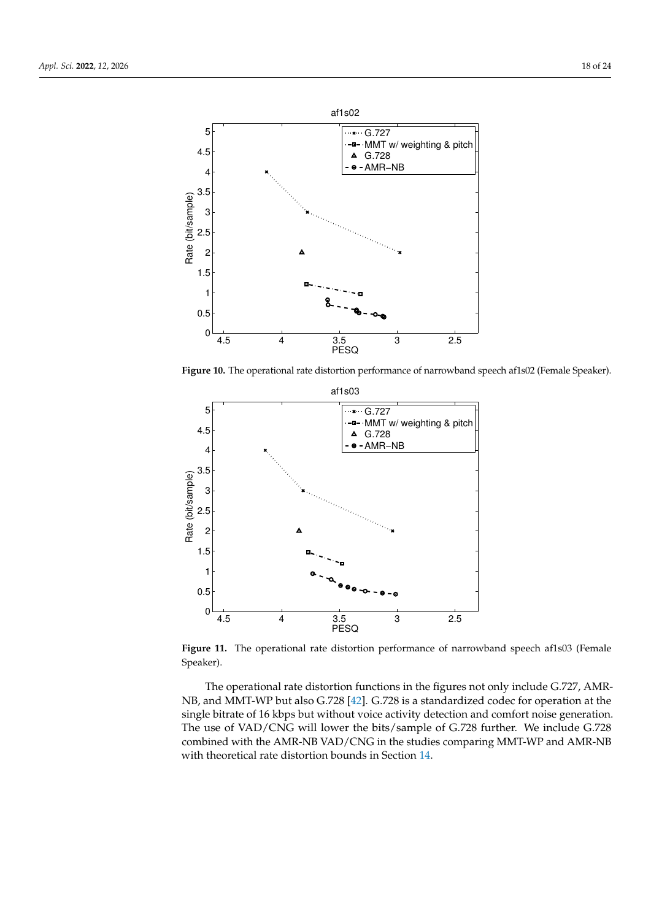

**Figure 10.** The operational rate distortion performance of narrowband speech af1s02 (Female Speaker).



**Figure 11.** The operational rate distortion performance of narrowband speech af1s03 (Female Speaker).

The operational rate distortion functions in the figures not only include G.727, AMR-NB, and MMT-WP but also G.728 [\[42\]](#page-23-3). G.728 is a standardized codec for operation at the single bitrate of 16 kbps but without voice activity detection and comfort noise generation. The use of VAD/CNG will lower the bits/sample of G.728 further. We include G.728 combined with the AMR-NB VAD/CNG in the studies comparing MMT-WP and AMR-NB with theoretical rate distortion bounds in Section [14.](#page-19-0)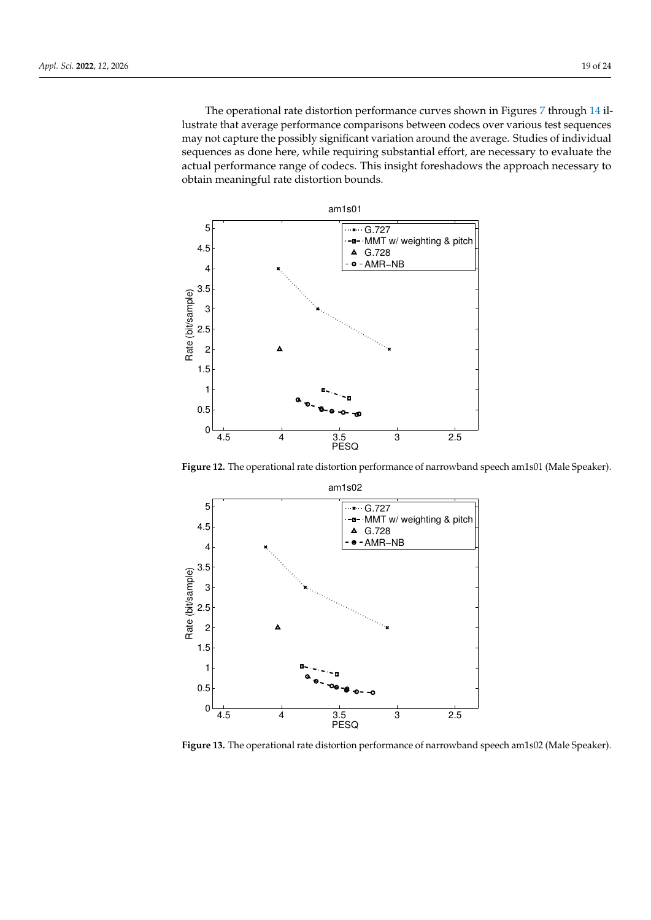The operational rate distortion performance curves shown in Figures [7](#page-15-1) through [14](#page-19-1) illustrate that average performance comparisons between codecs over various test sequences may not capture the possibly significant variation around the average. Studies of individual sequences as done here, while requiring substantial effort, are necessary to evaluate the actual performance range of codecs. This insight foreshadows the approach necessary to obtain meaningful rate distortion bounds.



**Figure 12.** The operational rate distortion performance of narrowband speech am1s01 (Male Speaker).



**Figure 13.** The operational rate distortion performance of narrowband speech am1s02 (Male Speaker).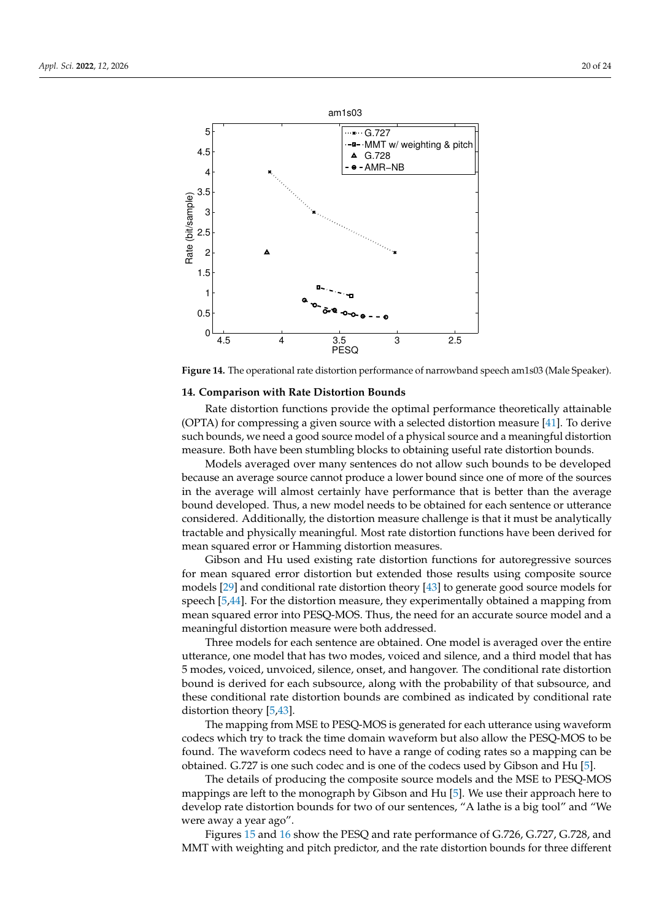<span id="page-19-1"></span>

**Figure 14.** The operational rate distortion performance of narrowband speech am1s03 (Male Speaker).

# <span id="page-19-0"></span>**14. Comparison with Rate Distortion Bounds**

Rate distortion functions provide the optimal performance theoretically attainable (OPTA) for compressing a given source with a selected distortion measure [\[41\]](#page-23-2). To derive such bounds, we need a good source model of a physical source and a meaningful distortion measure. Both have been stumbling blocks to obtaining useful rate distortion bounds.

Models averaged over many sentences do not allow such bounds to be developed because an average source cannot produce a lower bound since one of more of the sources in the average will almost certainly have performance that is better than the average bound developed. Thus, a new model needs to be obtained for each sentence or utterance considered. Additionally, the distortion measure challenge is that it must be analytically tractable and physically meaningful. Most rate distortion functions have been derived for mean squared error or Hamming distortion measures.

Gibson and Hu used existing rate distortion functions for autoregressive sources for mean squared error distortion but extended those results using composite source models [\[29\]](#page-22-22) and conditional rate distortion theory [\[43\]](#page-23-4) to generate good source models for speech [\[5,](#page-21-4)[44\]](#page-23-5). For the distortion measure, they experimentally obtained a mapping from mean squared error into PESQ-MOS. Thus, the need for an accurate source model and a meaningful distortion measure were both addressed.

Three models for each sentence are obtained. One model is averaged over the entire utterance, one model that has two modes, voiced and silence, and a third model that has 5 modes, voiced, unvoiced, silence, onset, and hangover. The conditional rate distortion bound is derived for each subsource, along with the probability of that subsource, and these conditional rate distortion bounds are combined as indicated by conditional rate distortion theory [\[5,](#page-21-4)[43\]](#page-23-4).

The mapping from MSE to PESQ-MOS is generated for each utterance using waveform codecs which try to track the time domain waveform but also allow the PESQ-MOS to be found. The waveform codecs need to have a range of coding rates so a mapping can be obtained. G.727 is one such codec and is one of the codecs used by Gibson and Hu [\[5\]](#page-21-4).

The details of producing the composite source models and the MSE to PESQ-MOS mappings are left to the monograph by Gibson and Hu [\[5\]](#page-21-4). We use their approach here to develop rate distortion bounds for two of our sentences, "A lathe is a big tool" and "We were away a year ago".

Figures [15](#page-20-0) and [16](#page-20-1) show the PESQ and rate performance of G.726, G.727, G.728, and MMT with weighting and pitch predictor, and the rate distortion bounds for three different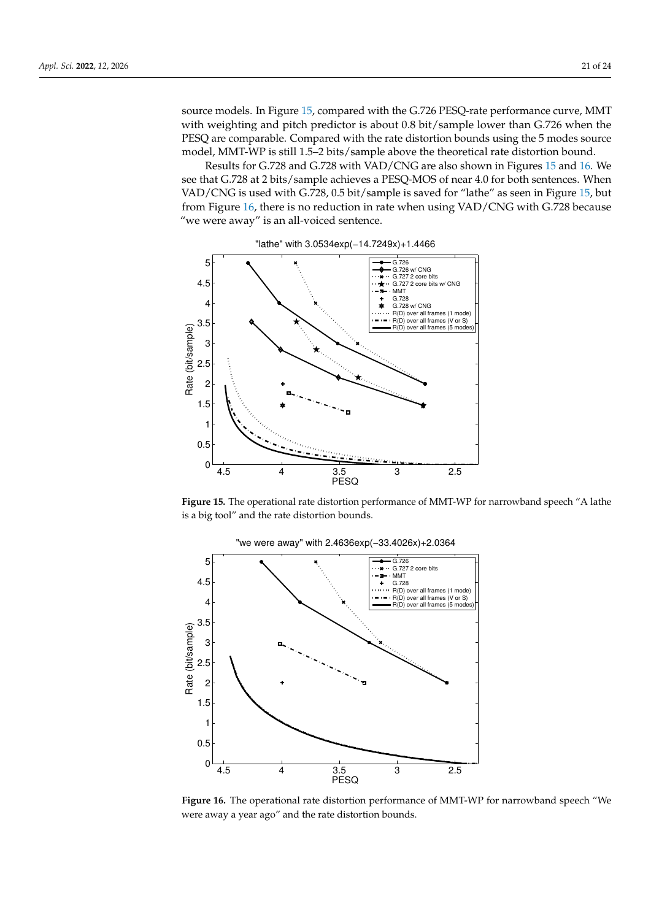source models. In Figure [15,](#page-20-0) compared with the G.726 PESQ-rate performance curve, MMT with weighting and pitch predictor is about 0.8 bit/sample lower than G.726 when the PESQ are comparable. Compared with the rate distortion bounds using the 5 modes source model, MMT-WP is still 1.5–2 bits/sample above the theoretical rate distortion bound.

Results for G.728 and G.728 with VAD/CNG are also shown in Figures [15](#page-20-0) and [16.](#page-20-1) We see that G.728 at 2 bits/sample achieves a PESQ-MOS of near 4.0 for both sentences. When VAD/CNG is used with G.728, 0.5 bit/sample is saved for "lathe" as seen in Figure [15,](#page-20-0) but from Figure [16,](#page-20-1) there is no reduction in rate when using VAD/CNG with G.728 because "we were away" is an all-voiced sentence.

<span id="page-20-0"></span>

**Figure 15.** The operational rate distortion performance of MMT-WP for narrowband speech "A lathe is a big tool" and the rate distortion bounds.

<span id="page-20-1"></span>

"we were away" with 2.4636exp(−33.4026x)+2.0364

**Figure 16.** The operational rate distortion performance of MMT-WP for narrowband speech "We were away a year ago" and the rate distortion bounds.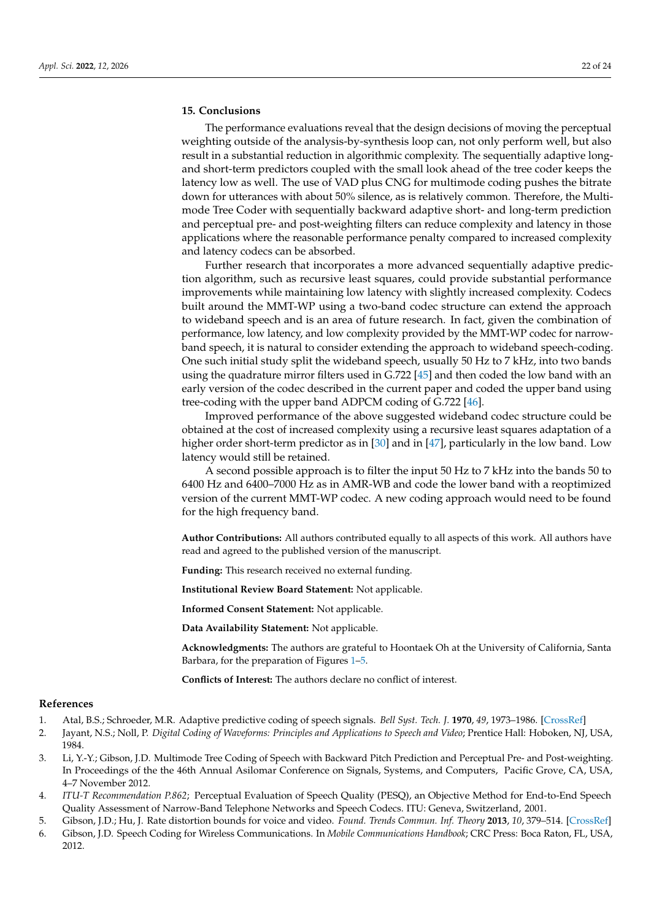# <span id="page-21-5"></span>**15. Conclusions**

The performance evaluations reveal that the design decisions of moving the perceptual weighting outside of the analysis-by-synthesis loop can, not only perform well, but also result in a substantial reduction in algorithmic complexity. The sequentially adaptive longand short-term predictors coupled with the small look ahead of the tree coder keeps the latency low as well. The use of VAD plus CNG for multimode coding pushes the bitrate down for utterances with about 50% silence, as is relatively common. Therefore, the Multimode Tree Coder with sequentially backward adaptive short- and long-term prediction and perceptual pre- and post-weighting filters can reduce complexity and latency in those applications where the reasonable performance penalty compared to increased complexity and latency codecs can be absorbed.

Further research that incorporates a more advanced sequentially adaptive prediction algorithm, such as recursive least squares, could provide substantial performance improvements while maintaining low latency with slightly increased complexity. Codecs built around the MMT-WP using a two-band codec structure can extend the approach to wideband speech and is an area of future research. In fact, given the combination of performance, low latency, and low complexity provided by the MMT-WP codec for narrowband speech, it is natural to consider extending the approach to wideband speech-coding. One such initial study split the wideband speech, usually 50 Hz to 7 kHz, into two bands using the quadrature mirror filters used in G.722 [\[45\]](#page-23-6) and then coded the low band with an early version of the codec described in the current paper and coded the upper band using tree-coding with the upper band ADPCM coding of G.722 [\[46\]](#page-23-7).

Improved performance of the above suggested wideband codec structure could be obtained at the cost of increased complexity using a recursive least squares adaptation of a higher order short-term predictor as in [\[30\]](#page-22-23) and in [\[47\]](#page-23-8), particularly in the low band. Low latency would still be retained.

A second possible approach is to filter the input 50 Hz to 7 kHz into the bands 50 to 6400 Hz and 6400–7000 Hz as in AMR-WB and code the lower band with a reoptimized version of the current MMT-WP codec. A new coding approach would need to be found for the high frequency band.

**Author Contributions:** All authors contributed equally to all aspects of this work. All authors have read and agreed to the published version of the manuscript.

**Funding:** This research received no external funding.

**Institutional Review Board Statement:** Not applicable.

**Informed Consent Statement:** Not applicable.

**Data Availability Statement:** Not applicable.

**Acknowledgments:** The authors are grateful to Hoontaek Oh at the University of California, Santa Barbara, for the preparation of Figures [1](#page-5-1)[–5.](#page-9-1)

**Conflicts of Interest:** The authors declare no conflict of interest.

#### **References**

- <span id="page-21-0"></span>1. Atal, B.S.; Schroeder, M.R. Adaptive predictive coding of speech signals. *Bell Syst. Tech. J.* **1970**, *49*, 1973–1986. [\[CrossRef\]](http://doi.org/10.1002/j.1538-7305.1970.tb04297.x)
- <span id="page-21-1"></span>2. Jayant, N.S.; Noll, P. *Digital Coding of Waveforms: Principles and Applications to Speech and Video*; Prentice Hall: Hoboken, NJ, USA, 1984.
- <span id="page-21-2"></span>3. Li, Y.-Y.; Gibson, J.D. Multimode Tree Coding of Speech with Backward Pitch Prediction and Perceptual Pre- and Post-weighting. In Proceedings of the the 46th Annual Asilomar Conference on Signals, Systems, and Computers, Pacific Grove, CA, USA, 4–7 November 2012.
- <span id="page-21-3"></span>4. *ITU-T Recommendation P.862*; Perceptual Evaluation of Speech Quality (PESQ), an Objective Method for End-to-End Speech Quality Assessment of Narrow-Band Telephone Networks and Speech Codecs. ITU: Geneva, Switzerland, 2001.
- <span id="page-21-4"></span>5. Gibson, J.D.; Hu, J. Rate distortion bounds for voice and video. *Found. Trends Commun. Inf. Theory* **2013**, *10*, 379–514. [\[CrossRef\]](http://dx.doi.org/10.1561/0100000061)
- <span id="page-21-6"></span>6. Gibson, J.D. Speech Coding for Wireless Communications. In *Mobile Communications Handbook*; CRC Press: Boca Raton, FL, USA, 2012.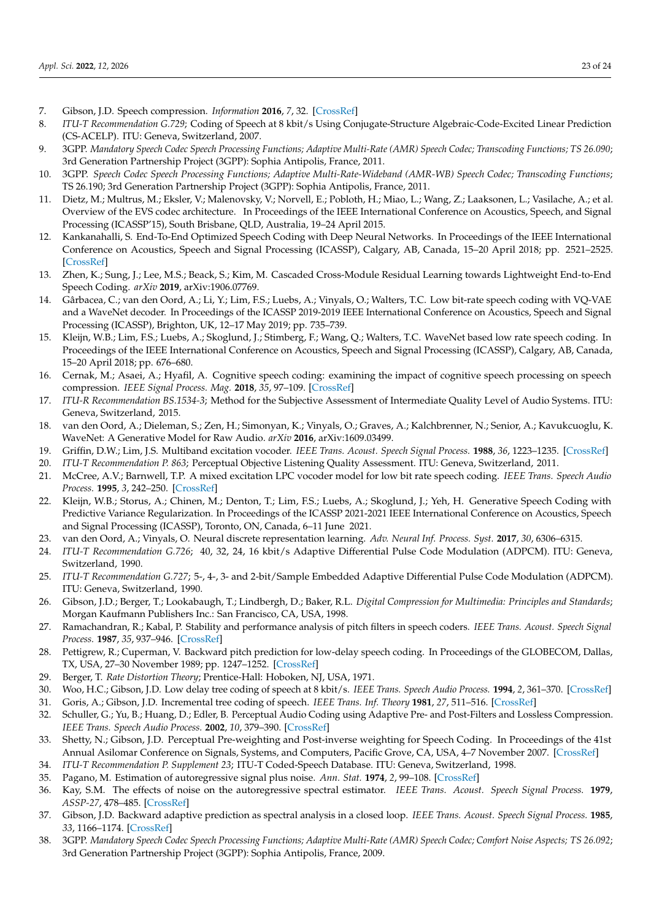- <span id="page-22-0"></span>7. Gibson, J.D. Speech compression. *Information* **2016**, *7*, 32. [\[CrossRef\]](http://dx.doi.org/10.3390/info7020032)
- <span id="page-22-1"></span>8. *ITU-T Recommendation G.729;* Coding of Speech at 8 kbit/s Using Conjugate-Structure Algebraic-Code-Excited Linear Prediction (CS-ACELP). ITU: Geneva, Switzerland, 2007.
- <span id="page-22-2"></span>9. 3GPP. *Mandatory Speech Codec Speech Processing Functions; Adaptive Multi-Rate (AMR) Speech Codec; Transcoding Functions; TS 26.090*; 3rd Generation Partnership Project (3GPP): Sophia Antipolis, France, 2011.
- <span id="page-22-3"></span>10. 3GPP. *Speech Codec Speech Processing Functions; Adaptive Multi-Rate-Wideband (AMR-WB) Speech Codec; Transcoding Functions*; TS 26.190; 3rd Generation Partnership Project (3GPP): Sophia Antipolis, France, 2011.
- <span id="page-22-4"></span>11. Dietz, M.; Multrus, M.; Eksler, V.; Malenovsky, V.; Norvell, E.; Pobloth, H.; Miao, L.; Wang, Z.; Laaksonen, L.; Vasilache, A.; et al. Overview of the EVS codec architecture. In Proceedings of the IEEE International Conference on Acoustics, Speech, and Signal Processing (ICASSP'15), South Brisbane, QLD, Australia, 19–24 April 2015.
- <span id="page-22-5"></span>12. Kankanahalli, S. End-To-End Optimized Speech Coding with Deep Neural Networks. In Proceedings of the IEEE International Conference on Acoustics, Speech and Signal Processing (ICASSP), Calgary, AB, Canada, 15–20 April 2018; pp. 2521–2525. [\[CrossRef\]](http://dx.doi.org/10.1109/ICASSP.2018.8461487)
- <span id="page-22-7"></span>13. Zhen, K.; Sung, J.; Lee, M.S.; Beack, S.; Kim, M. Cascaded Cross-Module Residual Learning towards Lightweight End-to-End Speech Coding. *arXiv* **2019**, arXiv:1906.07769.
- <span id="page-22-15"></span>14. Gârbacea, C.; van den Oord, A.; Li, Y.; Lim, F.S.; Luebs, A.; Vinyals, O.; Walters, T.C. Low bit-rate speech coding with VQ-VAE and a WaveNet decoder. In Proceedings of the ICASSP 2019-2019 IEEE International Conference on Acoustics, Speech and Signal Processing (ICASSP), Brighton, UK, 12–17 May 2019; pp. 735–739.
- <span id="page-22-9"></span>15. Kleijn, W.B.; Lim, F.S.; Luebs, A.; Skoglund, J.; Stimberg, F.; Wang, Q.; Walters, T.C. WaveNet based low rate speech coding. In Proceedings of the IEEE International Conference on Acoustics, Speech and Signal Processing (ICASSP), Calgary, AB, Canada, 15–20 April 2018; pp. 676–680.
- <span id="page-22-6"></span>16. Cernak, M.; Asaei, A.; Hyafil, A. Cognitive speech coding: examining the impact of cognitive speech processing on speech compression. *IEEE Signal Process. Mag.* **2018**, *35*, 97–109. [\[CrossRef\]](http://dx.doi.org/10.1109/MSP.2017.2761895)
- <span id="page-22-8"></span>17. *ITU-R Recommendation BS.1534-3*; Method for the Subjective Assessment of Intermediate Quality Level of Audio Systems. ITU: Geneva, Switzerland, 2015.
- <span id="page-22-10"></span>18. van den Oord, A.; Dieleman, S.; Zen, H.; Simonyan, K.; Vinyals, O.; Graves, A.; Kalchbrenner, N.; Senior, A.; Kavukcuoglu, K. WaveNet: A Generative Model for Raw Audio. *arXiv* **2016**, arXiv:1609.03499.
- <span id="page-22-11"></span>19. Griffin, D.W.; Lim, J.S. Multiband excitation vocoder. *IEEE Trans. Acoust. Speech Signal Process.* **1988**, *36*, 1223–1235. [\[CrossRef\]](http://dx.doi.org/10.1109/29.1651)
- <span id="page-22-12"></span>20. *ITU-T Recommendation P. 863*; Perceptual Objective Listening Quality Assessment. ITU: Geneva, Switzerland, 2011.
- <span id="page-22-13"></span>21. McCree, A.V.; Barnwell, T.P. A mixed excitation LPC vocoder model for low bit rate speech coding. *IEEE Trans. Speech Audio Process.* **1995**, *3*, 242–250. [\[CrossRef\]](http://dx.doi.org/10.1109/89.397089)
- <span id="page-22-14"></span>22. Kleijn, W.B.; Storus, A.; Chinen, M.; Denton, T.; Lim, F.S.; Luebs, A.; Skoglund, J.; Yeh, H. Generative Speech Coding with Predictive Variance Regularization. In Proceedings of the ICASSP 2021-2021 IEEE International Conference on Acoustics, Speech and Signal Processing (ICASSP), Toronto, ON, Canada, 6–11 June 2021.
- <span id="page-22-16"></span>23. van den Oord, A.; Vinyals, O. Neural discrete representation learning. *Adv. Neural Inf. Process. Syst.* **2017**, *30*, 6306–6315.
- <span id="page-22-17"></span>24. *ITU-T Recommendation G.726*; 40, 32, 24, 16 kbit/s Adaptive Differential Pulse Code Modulation (ADPCM). ITU: Geneva, Switzerland, 1990.
- <span id="page-22-18"></span>25. *ITU-T Recommendation G.727*; 5-, 4-, 3- and 2-bit/Sample Embedded Adaptive Differential Pulse Code Modulation (ADPCM). ITU: Geneva, Switzerland, 1990.
- <span id="page-22-19"></span>26. Gibson, J.D.; Berger, T.; Lookabaugh, T.; Lindbergh, D.; Baker, R.L. *Digital Compression for Multimedia: Principles and Standards*; Morgan Kaufmann Publishers Inc.: San Francisco, CA, USA, 1998.
- <span id="page-22-20"></span>27. Ramachandran, R.; Kabal, P. Stability and performance analysis of pitch filters in speech coders. *IEEE Trans. Acoust. Speech Signal Process.* **1987**, *35*, 937–946. [\[CrossRef\]](http://dx.doi.org/10.1109/TASSP.1987.1165238)
- <span id="page-22-21"></span>28. Pettigrew, R.; Cuperman, V. Backward pitch prediction for low-delay speech coding. In Proceedings of the GLOBECOM, Dallas, TX, USA, 27–30 November 1989; pp. 1247–1252. [\[CrossRef\]](http://dx.doi.org/10.1109/GLOCOM.1989.64154)
- <span id="page-22-22"></span>29. Berger, T. *Rate Distortion Theory*; Prentice-Hall: Hoboken, NJ, USA, 1971.
- <span id="page-22-23"></span>30. Woo, H.C.; Gibson, J.D. Low delay tree coding of speech at 8 kbit/s. *IEEE Trans. Speech Audio Process.* **1994**, *2*, 361–370. [\[CrossRef\]](http://dx.doi.org/10.1109/89.294349)
- <span id="page-22-24"></span>31. Goris, A.; Gibson, J.D. Incremental tree coding of speech. *IEEE Trans. Inf. Theory* **1981**, *27*, 511–516. [\[CrossRef\]](http://dx.doi.org/10.1109/TIT.1981.1056365)
- <span id="page-22-25"></span>32. Schuller, G.; Yu, B.; Huang, D.; Edler, B. Perceptual Audio Coding using Adaptive Pre- and Post-Filters and Lossless Compression. *IEEE Trans. Speech Audio Process.* **2002**, *10*, 379–390. [\[CrossRef\]](http://dx.doi.org/10.1109/TSA.2002.803444)
- <span id="page-22-26"></span>33. Shetty, N.; Gibson, J.D. Perceptual Pre-weighting and Post-inverse weighting for Speech Coding. In Proceedings of the 41st Annual Asilomar Conference on Signals, Systems, and Computers, Pacific Grove, CA, USA, 4–7 November 2007. [\[CrossRef\]](http://dx.doi.org/10.1109/ACSSC.2007.4487268)
- <span id="page-22-27"></span>34. *ITU-T Recommendation P. Supplement 23*; ITU-T Coded-Speech Database. ITU: Geneva, Switzerland, 1998.
- <span id="page-22-28"></span>35. Pagano, M. Estimation of autoregressive signal plus noise. *Ann. Stat.* **1974**, *2*, 99–108. [\[CrossRef\]](http://dx.doi.org/10.1214/aos/1176342616)
- <span id="page-22-29"></span>36. Kay, S.M. The effects of noise on the autoregressive spectral estimator. *IEEE Trans. Acoust. Speech Signal Process.* **1979**, *ASSP-27*, 478–485. [\[CrossRef\]](http://dx.doi.org/10.1109/TASSP.1979.1163275)
- <span id="page-22-30"></span>37. Gibson, J.D. Backward adaptive prediction as spectral analysis in a closed loop. *IEEE Trans. Acoust. Speech Signal Process.* **1985**, *33*, 1166–1174. [\[CrossRef\]](http://dx.doi.org/10.1109/TASSP.1985.1164681)
- <span id="page-22-31"></span>38. 3GPP. *Mandatory Speech Codec Speech Processing Functions; Adaptive Multi-Rate (AMR) Speech Codec; Comfort Noise Aspects; TS 26.092*; 3rd Generation Partnership Project (3GPP): Sophia Antipolis, France, 2009.